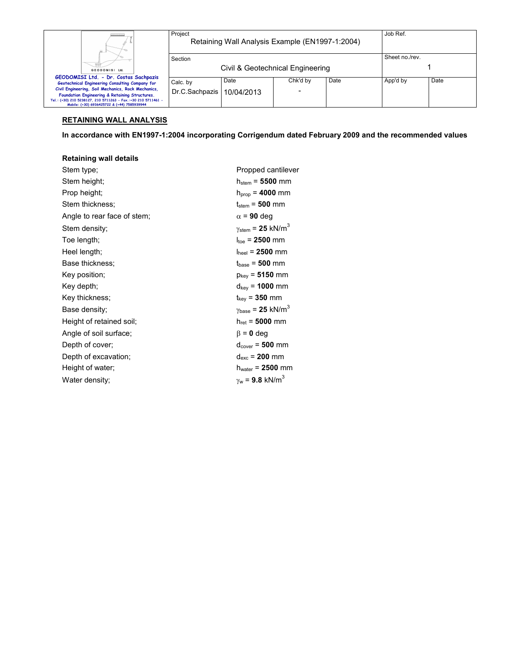|                                                                                                                                                                                                                      | Project<br>Retaining Wall Analysis Example (EN1997-1:2004) |                                  |          |      | Job Ref.       |      |
|----------------------------------------------------------------------------------------------------------------------------------------------------------------------------------------------------------------------|------------------------------------------------------------|----------------------------------|----------|------|----------------|------|
| GEODOMISI Ltd.                                                                                                                                                                                                       | Section                                                    | Civil & Geotechnical Engineering |          |      | Sheet no./rev. |      |
| GEODOMISI Ltd. - Dr. Costas Sachpazis                                                                                                                                                                                |                                                            |                                  |          |      |                |      |
| Geotechnical Engineering Consulting Company for                                                                                                                                                                      | Calc. by                                                   | Date                             | Chk'd by | Date | App'd by       | Date |
| Civil Engineering, Soil Mechanics, Rock Mechanics,<br>Foundation Engineering & Retaining Structures.<br>Tel.: (+30) 210 5238127, 210 5711263 - Fax.:+30 210 5711461 -<br>Mobile: (+30) 6936425722 & (+44) 7585939944 | Dr.C.Sachpazis                                             | 10/04/2013                       |          |      |                |      |

# **RETAINING WALL ANALYSIS**

**In accordance with EN1997-1:2004 incorporating Corrigendum dated February 2009 and the recommended values** 

# **Retaining wall details**

| Stem type;                  | Propped cantilever                            |
|-----------------------------|-----------------------------------------------|
| Stem height;                | $h_{stem} = 5500$ mm                          |
| Prop height;                | $h_{\text{prop}} = 4000 \text{ mm}$           |
| Stem thickness:             | $t_{stem} = 500$ mm                           |
| Angle to rear face of stem; | $\alpha$ = 90 deg                             |
| Stem density;               | $\gamma_{\text{stem}}$ = 25 kN/m <sup>3</sup> |
| Toe length;                 | $I_{\text{toe}}$ = 2500 mm                    |
| Heel length;                | $I_{\text{heel}}$ = 2500 mm                   |
| Base thickness:             | $t_{base} = 500$ mm                           |
| Key position;               | $p_{\text{keV}} = 5150 \text{ mm}$            |
| Key depth;                  | $d_{\text{key}}$ = 1000 mm                    |
| Key thickness;              | $t_{key}$ = 350 mm                            |
| Base density:               | $\gamma_{\text{base}} = 25 \text{ kN/m}^3$    |
| Height of retained soil;    | $h_{\text{ret}} = 5000 \text{ mm}$            |
| Angle of soil surface;      | $\beta = 0$ deg                               |
| Depth of cover;             | $d_{cover} = 500$ mm                          |
| Depth of excavation;        | $d_{exc}$ = 200 mm                            |
| Height of water;            | $h_{\text{water}} = 2500$ mm                  |
| Water density;              | $v_w = 9.8$ kN/m <sup>3</sup>                 |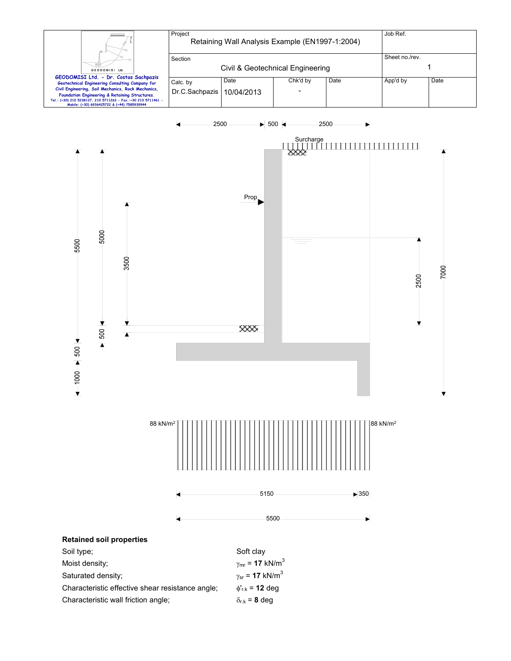



| Saturated density:                               | $v_{sr}$ = 17 kN/m        |
|--------------------------------------------------|---------------------------|
| Characteristic effective shear resistance angle; | $\phi_{\rm rk}$ = 12 deg  |
| Characteristic wall friction angle:              | $\delta_{\rm rk}$ = 8 dea |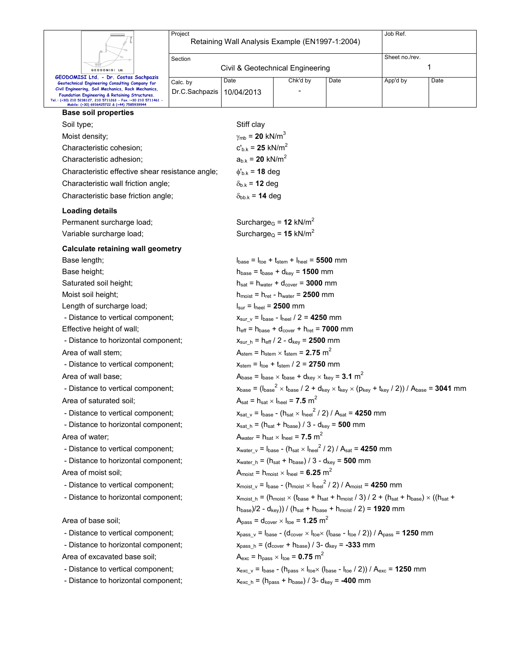|                                                                                                              | Job Ref.<br>Project<br>Retaining Wall Analysis Example (EN1997-1:2004) |                                          |                                                                                                                                                                                               |                                                                                                                                                                 |                |      |  |  |  |
|--------------------------------------------------------------------------------------------------------------|------------------------------------------------------------------------|------------------------------------------|-----------------------------------------------------------------------------------------------------------------------------------------------------------------------------------------------|-----------------------------------------------------------------------------------------------------------------------------------------------------------------|----------------|------|--|--|--|
|                                                                                                              | Section                                                                |                                          |                                                                                                                                                                                               |                                                                                                                                                                 | Sheet no./rev. |      |  |  |  |
| GEODOMISI Ltd.                                                                                               |                                                                        | Civil & Geotechnical Engineering         |                                                                                                                                                                                               |                                                                                                                                                                 |                | 1    |  |  |  |
| GEODOMISI Ltd. - Dr. Costas Sachpazis<br>Geotechnical Engineering Consulting Company for                     | Calc. by                                                               | Date                                     | Chk'd by                                                                                                                                                                                      | Date                                                                                                                                                            | App'd by       | Date |  |  |  |
| Civil Engineering, Soil Mechanics, Rock Mechanics,<br>Foundation Engineering & Retaining Structures.         | Dr.C.Sachpazis                                                         | 10/04/2013                               |                                                                                                                                                                                               |                                                                                                                                                                 |                |      |  |  |  |
| Tel.: (+30) 210 5238127, 210 5711263 - Fax.:+30 210 5711461 -<br>Mobile: (+30) 6936425722 & (+44) 7585939944 |                                                                        |                                          |                                                                                                                                                                                               |                                                                                                                                                                 |                |      |  |  |  |
| <b>Base soil properties</b>                                                                                  |                                                                        |                                          |                                                                                                                                                                                               |                                                                                                                                                                 |                |      |  |  |  |
| Soil type;                                                                                                   |                                                                        | Stiff clay                               |                                                                                                                                                                                               |                                                                                                                                                                 |                |      |  |  |  |
| Moist density;                                                                                               |                                                                        | $\gamma_{\rm mb}$ = 20 kN/m <sup>3</sup> |                                                                                                                                                                                               |                                                                                                                                                                 |                |      |  |  |  |
| Characteristic cohesion;                                                                                     |                                                                        | $c'_{b,k} = 25$ kN/m <sup>2</sup>        |                                                                                                                                                                                               |                                                                                                                                                                 |                |      |  |  |  |
| Characteristic adhesion;                                                                                     |                                                                        | $a_{b,k} = 20$ kN/m <sup>2</sup>         |                                                                                                                                                                                               |                                                                                                                                                                 |                |      |  |  |  |
| Characteristic effective shear resistance angle;                                                             |                                                                        | $\phi_{b.k}$ = 18 deg                    |                                                                                                                                                                                               |                                                                                                                                                                 |                |      |  |  |  |
| Characteristic wall friction angle;                                                                          |                                                                        | $\delta_{b,k}$ = 12 deg                  |                                                                                                                                                                                               |                                                                                                                                                                 |                |      |  |  |  |
| Characteristic base friction angle;                                                                          |                                                                        | $\delta_{bb,k}$ = 14 deg                 |                                                                                                                                                                                               |                                                                                                                                                                 |                |      |  |  |  |
| <b>Loading details</b>                                                                                       |                                                                        |                                          |                                                                                                                                                                                               |                                                                                                                                                                 |                |      |  |  |  |
| Permanent surcharge load;                                                                                    |                                                                        |                                          | Surcharge <sub>G</sub> = $12$ kN/m <sup>2</sup>                                                                                                                                               |                                                                                                                                                                 |                |      |  |  |  |
| Variable surcharge load;                                                                                     |                                                                        |                                          | Surcharge <sub>Q</sub> = 15 kN/m <sup>2</sup>                                                                                                                                                 |                                                                                                                                                                 |                |      |  |  |  |
| <b>Calculate retaining wall geometry</b>                                                                     |                                                                        |                                          |                                                                                                                                                                                               |                                                                                                                                                                 |                |      |  |  |  |
| Base length;                                                                                                 |                                                                        |                                          |                                                                                                                                                                                               |                                                                                                                                                                 |                |      |  |  |  |
| Base height;                                                                                                 |                                                                        |                                          | $I_{base} = I_{toe} + I_{stem} + I_{heel} = 5500$ mm<br>$h_{base} = t_{base} + d_{key} = 1500$ mm                                                                                             |                                                                                                                                                                 |                |      |  |  |  |
| Saturated soil height;                                                                                       |                                                                        |                                          | $h_{\text{sat}} = h_{\text{water}} + d_{\text{cover}} = 3000$ mm                                                                                                                              |                                                                                                                                                                 |                |      |  |  |  |
| Moist soil height;                                                                                           |                                                                        |                                          | $h_{\text{moist}} = h_{\text{ret}} - h_{\text{water}} = 2500 \text{ mm}$                                                                                                                      |                                                                                                                                                                 |                |      |  |  |  |
| Length of surcharge load;                                                                                    |                                                                        |                                          | $I_{\text{sur}} = I_{\text{heel}} = 2500$ mm                                                                                                                                                  |                                                                                                                                                                 |                |      |  |  |  |
| - Distance to vertical component;                                                                            |                                                                        |                                          | $x_{\text{sur\_v}} = I_{\text{base}} - I_{\text{heel}} / 2 = 4250$ mm                                                                                                                         |                                                                                                                                                                 |                |      |  |  |  |
| Effective height of wall;                                                                                    |                                                                        |                                          | $h_{\text{eff}} = h_{\text{base}} + d_{\text{cover}} + h_{\text{ret}} = 7000$ mm                                                                                                              |                                                                                                                                                                 |                |      |  |  |  |
| - Distance to horizontal component;                                                                          |                                                                        |                                          | $x_{\text{sur\_h}} = h_{\text{eff}} / 2 - d_{\text{key}} = 2500$ mm                                                                                                                           |                                                                                                                                                                 |                |      |  |  |  |
| Area of wall stem;                                                                                           |                                                                        |                                          | $A_{stem}$ = $h_{stem}$ $\times$ t <sub>stem</sub> = 2.75 m <sup>2</sup>                                                                                                                      |                                                                                                                                                                 |                |      |  |  |  |
| - Distance to vertical component;                                                                            |                                                                        |                                          | $x_{\text{stem}} = I_{\text{toe}} + t_{\text{stem}} / 2 = 2750$ mm                                                                                                                            |                                                                                                                                                                 |                |      |  |  |  |
| Area of wall base:                                                                                           |                                                                        |                                          | Abase = $I_{base} \times I_{base} + d_{key} \times I_{key} = 3.1 \text{ m}^2$                                                                                                                 |                                                                                                                                                                 |                |      |  |  |  |
| - Distance to vertical component;                                                                            |                                                                        |                                          | $x_{base} = (I_{base}^2 \times I_{base} / 2 + d_{key} \times I_{key} \times (p_{key} + I_{key} / 2)) / A_{base} = 3041$ mm                                                                    |                                                                                                                                                                 |                |      |  |  |  |
| Area of saturated soil:                                                                                      |                                                                        |                                          | $A_{\text{sat}} = h_{\text{sat}} \times I_{\text{heel}} = 7.5 \text{ m}^2$                                                                                                                    |                                                                                                                                                                 |                |      |  |  |  |
| - Distance to vertical component;                                                                            |                                                                        |                                          | $x_{\text{sat_v}} = I_{\text{base}} - (h_{\text{sat}} \times I_{\text{heel}}^2 / 2) / A_{\text{sat}} = 4250 \text{ mm}$                                                                       |                                                                                                                                                                 |                |      |  |  |  |
| - Distance to horizontal component;                                                                          |                                                                        |                                          | $x_{\text{sat\_h}} = (h_{\text{sat}} + h_{\text{base}}) / 3 - d_{\text{key}} = 500 \text{ mm}$                                                                                                |                                                                                                                                                                 |                |      |  |  |  |
| Area of water;                                                                                               |                                                                        |                                          | $A_{\text{water}} = h_{\text{sat}} \times I_{\text{heel}} = 7.5 \text{ m}^2$                                                                                                                  |                                                                                                                                                                 |                |      |  |  |  |
| - Distance to vertical component;                                                                            |                                                                        |                                          | $x_{water, v} = I_{base} - (h_{sat} \times I_{heel}^2 / 2) / A_{sat} = 4250$ mm                                                                                                               |                                                                                                                                                                 |                |      |  |  |  |
| - Distance to horizontal component;                                                                          |                                                                        |                                          | $x_{\text{water}\_h} = (h_{\text{sat}} + h_{\text{base}})/3 - d_{\text{key}} = 500$ mm                                                                                                        |                                                                                                                                                                 |                |      |  |  |  |
| Area of moist soil;                                                                                          |                                                                        |                                          | $A_{\text{moist}} = h_{\text{moist}} \times I_{\text{heel}} = 6.25 \text{ m}^2$                                                                                                               |                                                                                                                                                                 |                |      |  |  |  |
|                                                                                                              | - Distance to vertical component;                                      |                                          |                                                                                                                                                                                               | $x_{\text{moist\_v}} = I_{\text{base}} - (h_{\text{moist}} \times I_{\text{heel}}^2 / 2) / A_{\text{moist}} = 4250$ mm                                          |                |      |  |  |  |
| - Distance to horizontal component;                                                                          |                                                                        |                                          | $x_{\text{moist h}} = (h_{\text{moist}} \times (t_{\text{base}} + h_{\text{sat}} + h_{\text{moist}} / 3) / 2 + (h_{\text{sat}} + h_{\text{base}}) \times ((h_{\text{sat}} + h_{\text{base}})$ |                                                                                                                                                                 |                |      |  |  |  |
|                                                                                                              |                                                                        |                                          |                                                                                                                                                                                               | $h_{base}/2 - d_{key})/((h_{sat} + h_{base} + h_{moist}/2) = 1920$ mm                                                                                           |                |      |  |  |  |
| Area of base soil;                                                                                           |                                                                        |                                          | $Apass = dcover × Itoe = 1.25 m2$                                                                                                                                                             |                                                                                                                                                                 |                |      |  |  |  |
|                                                                                                              | - Distance to vertical component;                                      |                                          |                                                                                                                                                                                               | $x_{pass_v} = I_{base} - (d_{cover} \times I_{toe} \times (I_{base} - I_{toe} / 2)) / A_{pass} = 1250$ mm                                                       |                |      |  |  |  |
| - Distance to horizontal component;                                                                          |                                                                        |                                          | $x_{pass\_h} = (d_{cover} + h_{base}) / 3 - d_{key} = -333$ mm                                                                                                                                |                                                                                                                                                                 |                |      |  |  |  |
| Area of excavated base soil;                                                                                 |                                                                        |                                          | $A_{\text{exc}}$ = h <sub>pass</sub> $\times$ l <sub>toe</sub> = <b>0.75</b> m <sup>2</sup>                                                                                                   |                                                                                                                                                                 |                |      |  |  |  |
| - Distance to vertical component;                                                                            |                                                                        |                                          |                                                                                                                                                                                               | $x_{\text{exc}_V}$ = $I_{\text{base}}$ - ( $I_{\text{pass}} \times I_{\text{toe}} \times (I_{\text{base}} - I_{\text{toe}} / 2)$ ) / $A_{\text{exc}}$ = 1250 mm |                |      |  |  |  |
| - Distance to horizontal component;                                                                          |                                                                        |                                          | $x_{\text{exc\_h}} = (h_{\text{pass}} + h_{\text{base}})/3 - d_{\text{key}} = -400$ mm                                                                                                        |                                                                                                                                                                 |                |      |  |  |  |
|                                                                                                              |                                                                        |                                          |                                                                                                                                                                                               |                                                                                                                                                                 |                |      |  |  |  |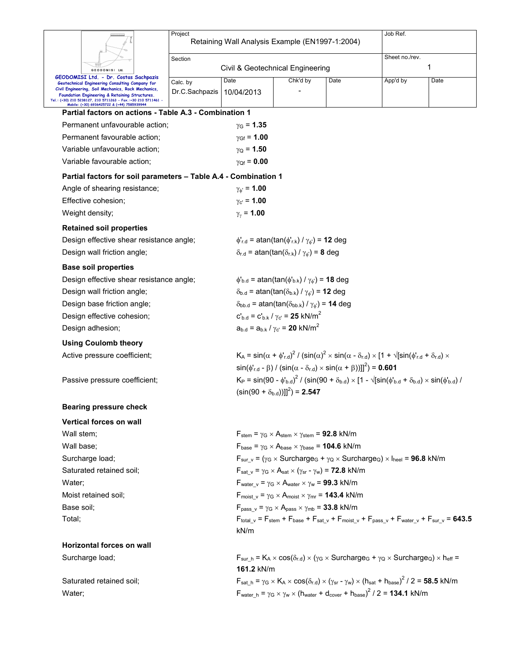|                                                                                                                 | Project                                                                                                                            |                                                                                                                                                  |                                                                                                                                         |                                                                                          | Job Ref.                                                                                                                                                    |      |  |  |  |  |
|-----------------------------------------------------------------------------------------------------------------|------------------------------------------------------------------------------------------------------------------------------------|--------------------------------------------------------------------------------------------------------------------------------------------------|-----------------------------------------------------------------------------------------------------------------------------------------|------------------------------------------------------------------------------------------|-------------------------------------------------------------------------------------------------------------------------------------------------------------|------|--|--|--|--|
|                                                                                                                 |                                                                                                                                    | Retaining Wall Analysis Example (EN1997-1:2004)                                                                                                  |                                                                                                                                         |                                                                                          |                                                                                                                                                             |      |  |  |  |  |
|                                                                                                                 | Section                                                                                                                            |                                                                                                                                                  |                                                                                                                                         |                                                                                          | Sheet no./rev.                                                                                                                                              |      |  |  |  |  |
| GEODOMISI Ltd<br>GEODOMISI Ltd. - Dr. Costas Sachpazis                                                          |                                                                                                                                    | Civil & Geotechnical Engineering                                                                                                                 |                                                                                                                                         |                                                                                          |                                                                                                                                                             | 1    |  |  |  |  |
| Geotechnical Engineering Consulting Company for<br>Civil Engineering, Soil Mechanics, Rock Mechanics,           | Calc. by                                                                                                                           | Date                                                                                                                                             | Chk'd by                                                                                                                                | Date                                                                                     | App'd by                                                                                                                                                    | Date |  |  |  |  |
| Foundation Engineering & Retaining Structures.<br>Tel.: (+30) 210 5238127, 210 5711263 - Fax.:+30 210 5711461 - | Dr.C.Sachpazis                                                                                                                     | 10/04/2013                                                                                                                                       |                                                                                                                                         |                                                                                          |                                                                                                                                                             |      |  |  |  |  |
| Mobile: (+30) 6936425722 & (+44) 7585939944<br>Partial factors on actions - Table A.3 - Combination 1           |                                                                                                                                    |                                                                                                                                                  |                                                                                                                                         |                                                                                          |                                                                                                                                                             |      |  |  |  |  |
| Permanent unfavourable action;                                                                                  |                                                                                                                                    | $\gamma_{\rm G}$ = 1.35                                                                                                                          |                                                                                                                                         |                                                                                          |                                                                                                                                                             |      |  |  |  |  |
| Permanent favourable action;                                                                                    |                                                                                                                                    | $\gamma_{\rm Gf}$ = 1.00                                                                                                                         |                                                                                                                                         |                                                                                          |                                                                                                                                                             |      |  |  |  |  |
| Variable unfavourable action;                                                                                   |                                                                                                                                    | $\gamma_{\rm Q}$ = 1.50                                                                                                                          |                                                                                                                                         |                                                                                          |                                                                                                                                                             |      |  |  |  |  |
| Variable favourable action;                                                                                     |                                                                                                                                    | $\gamma_{\rm Of} = 0.00$                                                                                                                         |                                                                                                                                         |                                                                                          |                                                                                                                                                             |      |  |  |  |  |
| Partial factors for soil parameters - Table A.4 - Combination 1                                                 |                                                                                                                                    |                                                                                                                                                  |                                                                                                                                         |                                                                                          |                                                                                                                                                             |      |  |  |  |  |
| Angle of shearing resistance;                                                                                   |                                                                                                                                    | $\gamma_{\phi} = 1.00$                                                                                                                           |                                                                                                                                         |                                                                                          |                                                                                                                                                             |      |  |  |  |  |
| Effective cohesion;                                                                                             |                                                                                                                                    | $y_{c'} = 1.00$                                                                                                                                  |                                                                                                                                         |                                                                                          |                                                                                                                                                             |      |  |  |  |  |
| Weight density;                                                                                                 |                                                                                                                                    | $\gamma_{\gamma}$ = 1.00                                                                                                                         |                                                                                                                                         |                                                                                          |                                                                                                                                                             |      |  |  |  |  |
| <b>Retained soil properties</b>                                                                                 |                                                                                                                                    |                                                                                                                                                  |                                                                                                                                         |                                                                                          |                                                                                                                                                             |      |  |  |  |  |
| Design effective shear resistance angle;                                                                        |                                                                                                                                    |                                                                                                                                                  | $\phi'_{r.d}$ = atan(tan( $\phi'_{r.k}$ ) / $\gamma_{\phi'}$ ) = 12 deg                                                                 |                                                                                          |                                                                                                                                                             |      |  |  |  |  |
| Design wall friction angle;                                                                                     |                                                                                                                                    |                                                                                                                                                  | $\delta_{r.d}$ = atan(tan( $\delta_{r.k}$ ) / $\gamma_{\phi}$ ) = 8 deg                                                                 |                                                                                          |                                                                                                                                                             |      |  |  |  |  |
| <b>Base soil properties</b>                                                                                     |                                                                                                                                    |                                                                                                                                                  |                                                                                                                                         |                                                                                          |                                                                                                                                                             |      |  |  |  |  |
| Design effective shear resistance angle;                                                                        |                                                                                                                                    |                                                                                                                                                  | $\phi_{b,d}$ = atan(tan( $\phi_{b,k}$ ) / $\gamma_{\phi}$ ) = 18 deg                                                                    |                                                                                          |                                                                                                                                                             |      |  |  |  |  |
| Design wall friction angle;                                                                                     |                                                                                                                                    |                                                                                                                                                  | $\delta_{b.d}$ = atan(tan( $\delta_{b.k}$ ) / $\gamma_{\phi}$ ) = 12 deg                                                                |                                                                                          |                                                                                                                                                             |      |  |  |  |  |
| Design base friction angle;                                                                                     |                                                                                                                                    |                                                                                                                                                  |                                                                                                                                         | $\delta_{\text{bb.d}}$ = atan(tan( $\delta_{\text{bb.k}}$ ) / $\gamma_{\phi}$ ) = 14 deg |                                                                                                                                                             |      |  |  |  |  |
| Design effective cohesion;                                                                                      |                                                                                                                                    |                                                                                                                                                  | $c'_{b,d} = c'_{b,k} / \gamma_{c'} = 25$ kN/m <sup>2</sup>                                                                              |                                                                                          |                                                                                                                                                             |      |  |  |  |  |
| Design adhesion;                                                                                                |                                                                                                                                    |                                                                                                                                                  | $a_{b,d} = a_{b,k} / \gamma_{c'} = 20 \text{ kN/m}^2$                                                                                   |                                                                                          |                                                                                                                                                             |      |  |  |  |  |
| <b>Using Coulomb theory</b>                                                                                     |                                                                                                                                    |                                                                                                                                                  |                                                                                                                                         |                                                                                          |                                                                                                                                                             |      |  |  |  |  |
| Active pressure coefficient;                                                                                    |                                                                                                                                    |                                                                                                                                                  |                                                                                                                                         |                                                                                          | $K_A = \sin(\alpha + \phi'_{rad})^2 / (\sin(\alpha)^2 \times \sin(\alpha - \delta_{rad}) \times [1 + \sqrt{[\sin(\phi'_{rad} + \delta_{rad}) \times$        |      |  |  |  |  |
|                                                                                                                 |                                                                                                                                    |                                                                                                                                                  | $sin(\phi'_{\text{rd}} - \beta)$ / $(sin(\alpha - \delta_{\text{rd}}) \times sin(\alpha + \beta))]^{2}$ = 0.601                         |                                                                                          |                                                                                                                                                             |      |  |  |  |  |
| Passive pressure coefficient;                                                                                   |                                                                                                                                    |                                                                                                                                                  | $K_P = \sin(90 - \phi_{b,d})^2 / (\sin(90 + \delta_{b,d}) \times [1 - \sqrt{\sin(\phi_{b,d} + \delta_{b,d})} \times \sin(\phi_{b,d}) /$ |                                                                                          |                                                                                                                                                             |      |  |  |  |  |
|                                                                                                                 |                                                                                                                                    |                                                                                                                                                  | $(\sin(90 + \delta_{\text{bad}}))$ <sup>2</sup> $) = 2.547$                                                                             |                                                                                          |                                                                                                                                                             |      |  |  |  |  |
| <b>Bearing pressure check</b>                                                                                   |                                                                                                                                    |                                                                                                                                                  |                                                                                                                                         |                                                                                          |                                                                                                                                                             |      |  |  |  |  |
| <b>Vertical forces on wall</b>                                                                                  |                                                                                                                                    |                                                                                                                                                  |                                                                                                                                         |                                                                                          |                                                                                                                                                             |      |  |  |  |  |
| Wall stem;                                                                                                      |                                                                                                                                    |                                                                                                                                                  | $F_{stem} = \gamma_G \times A_{stem} \times \gamma_{stem} = 92.8$ kN/m                                                                  |                                                                                          |                                                                                                                                                             |      |  |  |  |  |
| Wall base;                                                                                                      |                                                                                                                                    |                                                                                                                                                  | $F_{\text{base}} = \gamma_G \times A_{\text{base}} \times \gamma_{\text{base}} = 104.6 \text{ kN/m}$                                    |                                                                                          |                                                                                                                                                             |      |  |  |  |  |
| Surcharge load;                                                                                                 |                                                                                                                                    | $F_{sur v} = (\gamma_G \times$ Surcharge <sub>G</sub> + $\gamma_Q \times$ Surcharge <sub>Q</sub> ) $\times$ I <sub>heel</sub> = <b>96.8</b> kN/m |                                                                                                                                         |                                                                                          |                                                                                                                                                             |      |  |  |  |  |
| Saturated retained soil;                                                                                        |                                                                                                                                    |                                                                                                                                                  | $F_{\text{sat v}} = \gamma_G \times A_{\text{sat}} \times (\gamma_{\text{sr}} - \gamma_w) = 72.8 \text{ kN/m}$                          |                                                                                          |                                                                                                                                                             |      |  |  |  |  |
| Water;                                                                                                          |                                                                                                                                    |                                                                                                                                                  | $F_{water \ v} = \gamma_G \times A_{water} \times \gamma_w = 99.3 \text{ kN/m}$                                                         |                                                                                          |                                                                                                                                                             |      |  |  |  |  |
| Moist retained soil:                                                                                            |                                                                                                                                    |                                                                                                                                                  | $F_{\text{moist v}} = \gamma_G \times A_{\text{moist}} \times \gamma_{\text{mr}} = 143.4 \text{ kN/m}$                                  |                                                                                          |                                                                                                                                                             |      |  |  |  |  |
| Base soil;                                                                                                      |                                                                                                                                    |                                                                                                                                                  |                                                                                                                                         | $F_{pass v} = \gamma_G \times A_{pass} \times \gamma_{mb} = 33.8$ kN/m                   |                                                                                                                                                             |      |  |  |  |  |
| Total;                                                                                                          | $F_{total_v}$ = $F_{stem}$ + $F_{base}$ + $F_{sat_v}$ + $F_{moist_v}$ + $F_{pass_v}$ + $F_{water_v}$ + $F_{sur_v}$ = 643.5<br>kN/m |                                                                                                                                                  |                                                                                                                                         |                                                                                          |                                                                                                                                                             |      |  |  |  |  |
| <b>Horizontal forces on wall</b>                                                                                |                                                                                                                                    |                                                                                                                                                  |                                                                                                                                         |                                                                                          |                                                                                                                                                             |      |  |  |  |  |
| Surcharge load;                                                                                                 |                                                                                                                                    | 161.2 kN/m                                                                                                                                       |                                                                                                                                         |                                                                                          | $F_{\text{sur h}} = K_A \times \cos(\delta_{r.d}) \times (\gamma_G \times \text{Surcharge}_G + \gamma_Q \times \text{Surcharge}_Q) \times h_{\text{eff}} =$ |      |  |  |  |  |
| Saturated retained soil;                                                                                        |                                                                                                                                    |                                                                                                                                                  |                                                                                                                                         |                                                                                          | $F_{sat\_h} = \gamma_G \times K_A \times cos(\delta_{r.d}) \times (\gamma_{sr} - \gamma_w) \times (h_{sat} + h_{base})^2 / 2 = 58.5$ kN/m                   |      |  |  |  |  |

Water;  $\mathsf{F}_{\mathsf{water\_h}} = \gamma_{\mathsf{G}} \times \gamma_{\mathsf{w}} \times (\mathsf{h}_{\mathsf{water}} + \mathsf{d}_{\mathsf{cover}} + \mathsf{h}_{\mathsf{base}})^2 / 2 = 134.1 \text{ kN/m}$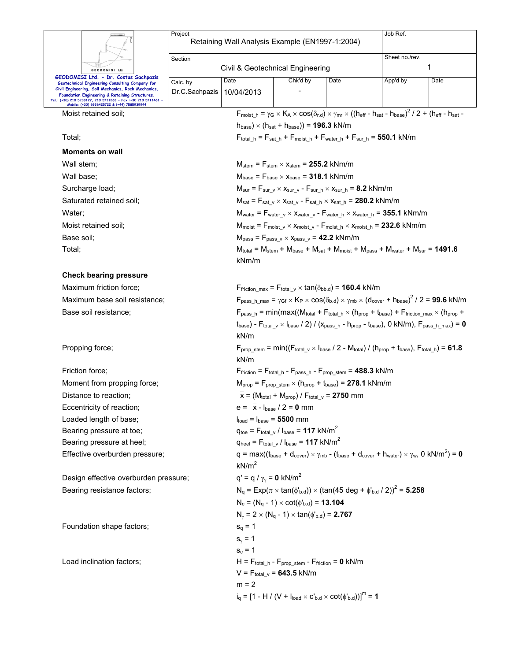|                                                                                                                                                                                                                                                                   | Project                          | Retaining Wall Analysis Example (EN1997-1:2004)                                                                                         |                                                                                                                            |                                                                                                                                                                                                                                      | Job Ref.                                                                                                                                                                                                               |      |  |  |  |
|-------------------------------------------------------------------------------------------------------------------------------------------------------------------------------------------------------------------------------------------------------------------|----------------------------------|-----------------------------------------------------------------------------------------------------------------------------------------|----------------------------------------------------------------------------------------------------------------------------|--------------------------------------------------------------------------------------------------------------------------------------------------------------------------------------------------------------------------------------|------------------------------------------------------------------------------------------------------------------------------------------------------------------------------------------------------------------------|------|--|--|--|
|                                                                                                                                                                                                                                                                   | Section                          |                                                                                                                                         |                                                                                                                            |                                                                                                                                                                                                                                      | Sheet no./rev.                                                                                                                                                                                                         |      |  |  |  |
| GEODOMISI Ltd.                                                                                                                                                                                                                                                    | Civil & Geotechnical Engineering |                                                                                                                                         |                                                                                                                            |                                                                                                                                                                                                                                      |                                                                                                                                                                                                                        | 1    |  |  |  |
| GEODOMISI Ltd. - Dr. Costas Sachpazis<br>Geotechnical Engineering Consulting Company for<br>Civil Engineering, Soil Mechanics, Rock Mechanics,<br>Foundation Engineering & Retaining Structures.<br>Tel.: (+30) 210 5238127, 210 5711263 - Fax.:+30 210 5711461 - | Calc. by<br>Dr.C.Sachpazis       | Date<br>10/04/2013                                                                                                                      | Chk'd by                                                                                                                   | Date                                                                                                                                                                                                                                 | App'd by                                                                                                                                                                                                               | Date |  |  |  |
| Mobile: (+30) 6936425722 & (+44) 7585939944<br>Moist retained soil;                                                                                                                                                                                               |                                  |                                                                                                                                         |                                                                                                                            |                                                                                                                                                                                                                                      | $F_{\text{moist h}} = \gamma_G \times K_A \times \cos(\delta_{r,d}) \times \gamma_{\text{mr}} \times ((h_{\text{eff}} - h_{\text{sat}} - h_{\text{base}})^2 / 2 + (h_{\text{eff}} - h_{\text{sat}} - h_{\text{sat}}))$ |      |  |  |  |
|                                                                                                                                                                                                                                                                   |                                  |                                                                                                                                         | $h_{base}$ ) × ( $h_{sat}$ + $h_{base}$ )) = 196.3 kN/m                                                                    |                                                                                                                                                                                                                                      |                                                                                                                                                                                                                        |      |  |  |  |
| Total;                                                                                                                                                                                                                                                            |                                  |                                                                                                                                         |                                                                                                                            |                                                                                                                                                                                                                                      | $F_{\text{total h}} = F_{\text{sat h}} + F_{\text{moist h}} + F_{\text{water h}} + F_{\text{sur h}} = 550.1 \text{ kN/m}$                                                                                              |      |  |  |  |
| <b>Moments on wall</b>                                                                                                                                                                                                                                            |                                  |                                                                                                                                         |                                                                                                                            |                                                                                                                                                                                                                                      |                                                                                                                                                                                                                        |      |  |  |  |
| Wall stem;                                                                                                                                                                                                                                                        |                                  |                                                                                                                                         | $M_{stem}$ = $F_{stem}$ $\times$ $x_{stem}$ = 255.2 kNm/m                                                                  |                                                                                                                                                                                                                                      |                                                                                                                                                                                                                        |      |  |  |  |
| Wall base:                                                                                                                                                                                                                                                        |                                  |                                                                                                                                         | $M_{base}$ = $F_{base}$ $\times$ $x_{base}$ = 318.1 kNm/m                                                                  |                                                                                                                                                                                                                                      |                                                                                                                                                                                                                        |      |  |  |  |
| Surcharge load;                                                                                                                                                                                                                                                   |                                  |                                                                                                                                         | $M_{\text{sur}} = F_{\text{sur v}} \times x_{\text{sur v}} - F_{\text{sur h}} \times x_{\text{sur h}} = 8.2 \text{ kNm/m}$ |                                                                                                                                                                                                                                      |                                                                                                                                                                                                                        |      |  |  |  |
| Saturated retained soil;                                                                                                                                                                                                                                          |                                  |                                                                                                                                         | $M_{sat}$ = $F_{sat_v} \times X_{sat_v}$ - $F_{sat_h} \times X_{sat_h}$ = 280.2 kNm/m                                      |                                                                                                                                                                                                                                      |                                                                                                                                                                                                                        |      |  |  |  |
| Water:                                                                                                                                                                                                                                                            |                                  |                                                                                                                                         |                                                                                                                            |                                                                                                                                                                                                                                      | $M_{water} = F_{water}$ $_v \times X_{water}$ $_v$ - $F_{water}$ $_h \times X_{water}$ $_h = 355.1$ kNm/m                                                                                                              |      |  |  |  |
| Moist retained soil:                                                                                                                                                                                                                                              |                                  |                                                                                                                                         |                                                                                                                            |                                                                                                                                                                                                                                      | $M_{\text{moist}} = F_{\text{moist\_v}} \times x_{\text{moist\_v}} - F_{\text{moist\_h}} \times x_{\text{moist\_h}} = 232.6 \text{ kNm/m}$                                                                             |      |  |  |  |
| Base soil;                                                                                                                                                                                                                                                        |                                  |                                                                                                                                         |                                                                                                                            |                                                                                                                                                                                                                                      |                                                                                                                                                                                                                        |      |  |  |  |
| Total;                                                                                                                                                                                                                                                            |                                  |                                                                                                                                         |                                                                                                                            | $M_{pass}$ = $F_{pass \, v} \times X_{pass \, v}$ = 42.2 kNm/m<br>$M_{\text{total}} = M_{\text{stem}} + M_{\text{base}} + M_{\text{sat}} + M_{\text{moist}} + M_{\text{pass}} + M_{\text{water}} + M_{\text{sur}} = 1491.6$<br>kNm/m |                                                                                                                                                                                                                        |      |  |  |  |
| <b>Check bearing pressure</b>                                                                                                                                                                                                                                     |                                  |                                                                                                                                         |                                                                                                                            |                                                                                                                                                                                                                                      |                                                                                                                                                                                                                        |      |  |  |  |
| Maximum friction force;                                                                                                                                                                                                                                           |                                  |                                                                                                                                         | $F_{\text{friction\_max}} = F_{\text{total\_v}} \times \tan(\delta_{\text{bb.d}}) = 160.4 \text{ kN/m}$                    |                                                                                                                                                                                                                                      |                                                                                                                                                                                                                        |      |  |  |  |
| Maximum base soil resistance;                                                                                                                                                                                                                                     |                                  | $F_{pass\_h\_max} = \gamma_{GF} \times K_P \times cos(\delta_{b.d}) \times \gamma_{mb} \times (d_{cover} + h_{base})^2 / 2 = 99.6$ kN/m |                                                                                                                            |                                                                                                                                                                                                                                      |                                                                                                                                                                                                                        |      |  |  |  |
| Base soil resistance;                                                                                                                                                                                                                                             |                                  |                                                                                                                                         | $F_{pass h} = min(max((M_{total} + F_{total h} \times (h_{prop} + t_{base}) + F_{friction max} \times (h_{prop} +$         |                                                                                                                                                                                                                                      |                                                                                                                                                                                                                        |      |  |  |  |
|                                                                                                                                                                                                                                                                   |                                  | kN/m                                                                                                                                    |                                                                                                                            |                                                                                                                                                                                                                                      | $t_{base}$ ) - $F_{total_v} \times I_{base}$ / 2) / ( $x_{pass_h}$ - $h_{prop}$ - $t_{base}$ ), 0 kN/m), $F_{pass_h_max}$ = 0                                                                                          |      |  |  |  |
| Propping force;                                                                                                                                                                                                                                                   | kN/m                             | $F_{prop\_stem} = min((F_{total\_v} \times I_{base} / 2 - M_{total}) / (h_{prop} + t_{base})$ , $F_{total h}$ ) = 61.8                  |                                                                                                                            |                                                                                                                                                                                                                                      |                                                                                                                                                                                                                        |      |  |  |  |
| Friction force;                                                                                                                                                                                                                                                   |                                  |                                                                                                                                         | $F_{\text{friction}} = F_{\text{total\_h}} - F_{\text{pass\_h}} - F_{\text{prop\_stem}} = 488.3 \text{ kN/m}$              |                                                                                                                                                                                                                                      |                                                                                                                                                                                                                        |      |  |  |  |
| Moment from propping force;                                                                                                                                                                                                                                       |                                  |                                                                                                                                         | $M_{prop}$ = $F_{prop \text{stem}} \times (h_{prop} + t_{base})$ = 278.1 kNm/m                                             |                                                                                                                                                                                                                                      |                                                                                                                                                                                                                        |      |  |  |  |
| Distance to reaction;                                                                                                                                                                                                                                             |                                  |                                                                                                                                         | $\overline{x}$ = (M <sub>total</sub> + M <sub>prop</sub> ) / F <sub>total</sub> $\overline{y}$ = 2750 mm                   |                                                                                                                                                                                                                                      |                                                                                                                                                                                                                        |      |  |  |  |
| Eccentricity of reaction;                                                                                                                                                                                                                                         |                                  |                                                                                                                                         | $e = \bar{x} - I_{base} / 2 = 0$ mm                                                                                        |                                                                                                                                                                                                                                      |                                                                                                                                                                                                                        |      |  |  |  |
| Loaded length of base;                                                                                                                                                                                                                                            |                                  |                                                                                                                                         | $Iload = Ibase = 5500 mm$                                                                                                  |                                                                                                                                                                                                                                      |                                                                                                                                                                                                                        |      |  |  |  |
| Bearing pressure at toe;                                                                                                                                                                                                                                          |                                  |                                                                                                                                         | $q_{\text{toe}} = F_{\text{total} \text{v}} / I_{\text{base}} = 117 \text{ kN/m}^2$                                        |                                                                                                                                                                                                                                      |                                                                                                                                                                                                                        |      |  |  |  |
| Bearing pressure at heel;                                                                                                                                                                                                                                         |                                  |                                                                                                                                         | $q_{\text{heel}} = F_{\text{total} \text{v}} / I_{\text{base}} = 117 \text{ kN/m}^2$                                       |                                                                                                                                                                                                                                      |                                                                                                                                                                                                                        |      |  |  |  |
| Effective overburden pressure;                                                                                                                                                                                                                                    |                                  | kN/m <sup>2</sup>                                                                                                                       | $q = max((t_{base} + d_{cover}) \times \gamma_{mb} - (t_{base} + d_{cover} + h_{water}) \times \gamma_w, 0 kN/m^2) = 0$    |                                                                                                                                                                                                                                      |                                                                                                                                                                                                                        |      |  |  |  |
| Design effective overburden pressure;                                                                                                                                                                                                                             |                                  | $q' = q / \gamma_{\gamma} = 0$ kN/m <sup>2</sup>                                                                                        |                                                                                                                            |                                                                                                                                                                                                                                      |                                                                                                                                                                                                                        |      |  |  |  |
| Bearing resistance factors;                                                                                                                                                                                                                                       |                                  |                                                                                                                                         |                                                                                                                            |                                                                                                                                                                                                                                      | $N_q = Exp(\pi \times tan(\phi_{b.d})) \times (tan(45 deg + \phi_{b.d} / 2))^2 = 5.258$                                                                                                                                |      |  |  |  |
|                                                                                                                                                                                                                                                                   |                                  |                                                                                                                                         | $N_c = (N_q - 1) \times \cot(\phi_{b.d}) = 13.104$                                                                         |                                                                                                                                                                                                                                      |                                                                                                                                                                                                                        |      |  |  |  |
|                                                                                                                                                                                                                                                                   |                                  |                                                                                                                                         | $N_{\gamma} = 2 \times (N_q - 1) \times \tan(\phi_{b.d}) = 2.767$                                                          |                                                                                                                                                                                                                                      |                                                                                                                                                                                                                        |      |  |  |  |
| Foundation shape factors;                                                                                                                                                                                                                                         |                                  | $s_q = 1$                                                                                                                               |                                                                                                                            |                                                                                                                                                                                                                                      |                                                                                                                                                                                                                        |      |  |  |  |
|                                                                                                                                                                                                                                                                   |                                  | $s_{\gamma} = 1$                                                                                                                        |                                                                                                                            |                                                                                                                                                                                                                                      |                                                                                                                                                                                                                        |      |  |  |  |
|                                                                                                                                                                                                                                                                   |                                  | $s_c = 1$                                                                                                                               |                                                                                                                            |                                                                                                                                                                                                                                      |                                                                                                                                                                                                                        |      |  |  |  |
| Load inclination factors;                                                                                                                                                                                                                                         |                                  |                                                                                                                                         | $H = F_{total h} - F_{prop stem} - F_{friction} = 0 kN/m$<br>$V = F_{total}$ $_v = 643.5$ kN/m                             |                                                                                                                                                                                                                                      |                                                                                                                                                                                                                        |      |  |  |  |
|                                                                                                                                                                                                                                                                   |                                  | $m = 2$                                                                                                                                 |                                                                                                                            |                                                                                                                                                                                                                                      |                                                                                                                                                                                                                        |      |  |  |  |
|                                                                                                                                                                                                                                                                   |                                  |                                                                                                                                         | $i_q = [1 - H / (V + I_{load} \times C_{b.d} \times \cot(\phi_{b.d}))]^m = 1$                                              |                                                                                                                                                                                                                                      |                                                                                                                                                                                                                        |      |  |  |  |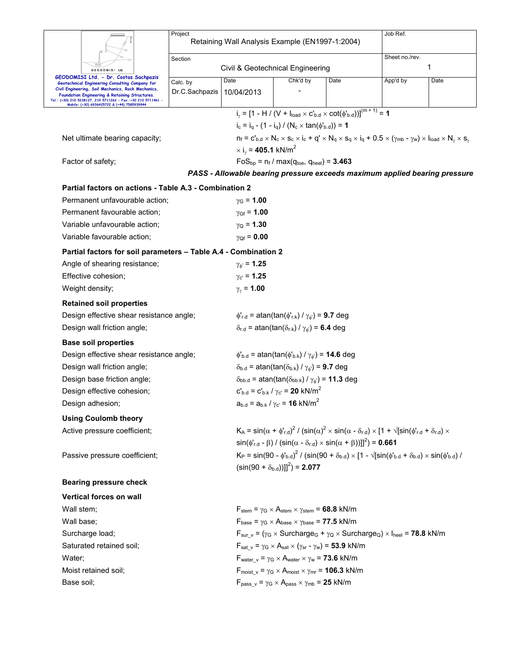|            |                                                                                                                                                                                                                      | Project        |                                                             |                                                                                                                                                                    |      | Job Ref.                                                                                                                                                                          |                                                                            |  |  |  |  |
|------------|----------------------------------------------------------------------------------------------------------------------------------------------------------------------------------------------------------------------|----------------|-------------------------------------------------------------|--------------------------------------------------------------------------------------------------------------------------------------------------------------------|------|-----------------------------------------------------------------------------------------------------------------------------------------------------------------------------------|----------------------------------------------------------------------------|--|--|--|--|
|            |                                                                                                                                                                                                                      |                | Retaining Wall Analysis Example (EN1997-1:2004)             |                                                                                                                                                                    |      |                                                                                                                                                                                   |                                                                            |  |  |  |  |
|            |                                                                                                                                                                                                                      | Section        |                                                             |                                                                                                                                                                    |      | Sheet no./rev.                                                                                                                                                                    |                                                                            |  |  |  |  |
|            | GEODOMISI Ltd                                                                                                                                                                                                        |                | Civil & Geotechnical Engineering                            |                                                                                                                                                                    |      |                                                                                                                                                                                   | 1                                                                          |  |  |  |  |
|            | GEODOMISI Ltd. - Dr. Costas Sachpazis<br>Geotechnical Engineering Consulting Company for                                                                                                                             | Calc. by       | Date                                                        | Chk'd by                                                                                                                                                           | Date | App'd by                                                                                                                                                                          | Date                                                                       |  |  |  |  |
|            | Civil Engineering, Soil Mechanics, Rock Mechanics,<br>Foundation Engineering & Retaining Structures.<br>Tel.: (+30) 210 5238127, 210 5711263 - Fax.:+30 210 5711461 -<br>Mobile: (+30) 6936425722 & (+44) 7585939944 | Dr.C.Sachpazis | 10/04/2013                                                  |                                                                                                                                                                    |      |                                                                                                                                                                                   |                                                                            |  |  |  |  |
|            |                                                                                                                                                                                                                      |                |                                                             | $i_y = [1 - H / (V + I_{load} \times C_{b.d} \times \cot(\phi_{b.d}))]^{(m+1)} = 1$                                                                                |      |                                                                                                                                                                                   |                                                                            |  |  |  |  |
|            |                                                                                                                                                                                                                      |                |                                                             | $i_c = i_q - (1 - i_q) / (N_c \times tan(\phi_{b.d})) = 1$                                                                                                         |      |                                                                                                                                                                                   |                                                                            |  |  |  |  |
|            | Net ultimate bearing capacity;                                                                                                                                                                                       |                |                                                             |                                                                                                                                                                    |      | $n_f = c'_{b.d} \times N_c \times s_c \times i_c + q' \times N_q \times s_q \times i_q + 0.5 \times (\gamma_{mb} - \gamma_w) \times I_{load} \times N_{\gamma} \times s_{\gamma}$ |                                                                            |  |  |  |  |
|            |                                                                                                                                                                                                                      |                | $\times$ i <sub>v</sub> = 405.1 kN/m <sup>2</sup>           |                                                                                                                                                                    |      |                                                                                                                                                                                   |                                                                            |  |  |  |  |
|            | Factor of safety;                                                                                                                                                                                                    |                |                                                             | $FoS_{bp} = n_f / max(q_{toe}, q_{heel}) = 3.463$                                                                                                                  |      |                                                                                                                                                                                   |                                                                            |  |  |  |  |
|            |                                                                                                                                                                                                                      |                |                                                             |                                                                                                                                                                    |      |                                                                                                                                                                                   | PASS - Allowable bearing pressure exceeds maximum applied bearing pressure |  |  |  |  |
|            | Partial factors on actions - Table A.3 - Combination 2                                                                                                                                                               |                |                                                             |                                                                                                                                                                    |      |                                                                                                                                                                                   |                                                                            |  |  |  |  |
|            | Permanent unfavourable action;                                                                                                                                                                                       |                | $y_{G} = 1.00$                                              |                                                                                                                                                                    |      |                                                                                                                                                                                   |                                                                            |  |  |  |  |
|            | Permanent favourable action;                                                                                                                                                                                         |                | $y_{Gf} = 1.00$                                             |                                                                                                                                                                    |      |                                                                                                                                                                                   |                                                                            |  |  |  |  |
|            | Variable unfavourable action;                                                                                                                                                                                        |                | $y_{Q} = 1.30$                                              |                                                                                                                                                                    |      |                                                                                                                                                                                   |                                                                            |  |  |  |  |
|            | Variable favourable action;                                                                                                                                                                                          |                | $\gamma_{Qf} = 0.00$                                        |                                                                                                                                                                    |      |                                                                                                                                                                                   |                                                                            |  |  |  |  |
|            | Partial factors for soil parameters - Table A.4 - Combination 2                                                                                                                                                      |                |                                                             |                                                                                                                                                                    |      |                                                                                                                                                                                   |                                                                            |  |  |  |  |
|            | Angle of shearing resistance;                                                                                                                                                                                        |                | $\gamma_{\phi} = 1.25$                                      |                                                                                                                                                                    |      |                                                                                                                                                                                   |                                                                            |  |  |  |  |
|            | Effective cohesion;                                                                                                                                                                                                  |                | $\gamma_{c'} = 1.25$                                        |                                                                                                                                                                    |      |                                                                                                                                                                                   |                                                                            |  |  |  |  |
|            | Weight density;                                                                                                                                                                                                      |                | $\gamma_{\gamma}$ = 1.00                                    |                                                                                                                                                                    |      |                                                                                                                                                                                   |                                                                            |  |  |  |  |
|            | <b>Retained soil properties</b>                                                                                                                                                                                      |                |                                                             |                                                                                                                                                                    |      |                                                                                                                                                                                   |                                                                            |  |  |  |  |
|            | Design effective shear resistance angle;                                                                                                                                                                             |                |                                                             | $\phi'_{r.d}$ = atan(tan( $\phi'_{r.k}$ ) / $\gamma_{\phi'}$ ) = 9.7 deg                                                                                           |      |                                                                                                                                                                                   |                                                                            |  |  |  |  |
|            | Design wall friction angle;                                                                                                                                                                                          |                |                                                             | $\delta_{r.d}$ = atan(tan( $\delta_{r.k}$ ) / $\gamma_{\phi}$ ) = 6.4 deg                                                                                          |      |                                                                                                                                                                                   |                                                                            |  |  |  |  |
|            | <b>Base soil properties</b>                                                                                                                                                                                          |                |                                                             |                                                                                                                                                                    |      |                                                                                                                                                                                   |                                                                            |  |  |  |  |
|            | Design effective shear resistance angle;                                                                                                                                                                             |                |                                                             | $\phi_{b.d}$ = atan(tan( $\phi_{b.k}$ ) / $\gamma_{\phi}$ ) = <b>14.6</b> deg                                                                                      |      |                                                                                                                                                                                   |                                                                            |  |  |  |  |
|            | Design wall friction angle;                                                                                                                                                                                          |                |                                                             | $\delta_{b.d}$ = atan(tan( $\delta_{b.k}$ ) / $\gamma_{\phi}$ ) = 9.7 deg                                                                                          |      |                                                                                                                                                                                   |                                                                            |  |  |  |  |
|            | Design base friction angle;                                                                                                                                                                                          |                |                                                             | $\delta_{\text{bb.d}}$ = atan(tan( $\delta_{\text{bb.k}}$ ) / $\gamma_{\phi}$ ) = 11.3 deg                                                                         |      |                                                                                                                                                                                   |                                                                            |  |  |  |  |
|            | Design effective cohesion;                                                                                                                                                                                           |                |                                                             | $c'_{b,d} = c'_{b,k} / \gamma_c = 20$ kN/m <sup>2</sup>                                                                                                            |      |                                                                                                                                                                                   |                                                                            |  |  |  |  |
|            | Design adhesion;                                                                                                                                                                                                     |                |                                                             | $a_{b.d} = a_{b.k} / \gamma_{c'} = 16 \text{ kN/m}^2$                                                                                                              |      |                                                                                                                                                                                   |                                                                            |  |  |  |  |
|            | <b>Using Coulomb theory</b>                                                                                                                                                                                          |                |                                                             |                                                                                                                                                                    |      |                                                                                                                                                                                   |                                                                            |  |  |  |  |
|            | Active pressure coefficient;                                                                                                                                                                                         |                |                                                             |                                                                                                                                                                    |      | $K_A$ = sin( $\alpha$ + $\phi'_{r,d}$ ) <sup>2</sup> / (sin( $\alpha$ ) <sup>2</sup> × sin( $\alpha$ - $\delta_{r,d}$ ) × [1 + $\sqrt{s}$ in( $\phi'_{r,d}$ + $\delta_{r,d}$ ) ×  |                                                                            |  |  |  |  |
|            |                                                                                                                                                                                                                      |                |                                                             | $\sin(\phi_{r,d} - \beta)$ / $(\sin(\alpha - \delta_{r,d}) \times \sin(\alpha + \beta))]^{2}$ = 0.661                                                              |      |                                                                                                                                                                                   |                                                                            |  |  |  |  |
|            | Passive pressure coefficient;                                                                                                                                                                                        |                |                                                             | $K_P = \sin(90 - \phi_{b,d}^{\prime})^2 / (\sin(90 + \delta_{b,d}) \times [1 - \sqrt{[\sin(\phi_{b,d}^{\prime} + \delta_{b,d}) \times \sin(\phi_{b,d}^{\prime})}]$ |      |                                                                                                                                                                                   |                                                                            |  |  |  |  |
|            |                                                                                                                                                                                                                      |                | $(\sin(90 + \delta_{\text{b.d}}))$ <sup>2</sup> $) = 2.077$ |                                                                                                                                                                    |      |                                                                                                                                                                                   |                                                                            |  |  |  |  |
|            | <b>Bearing pressure check</b>                                                                                                                                                                                        |                |                                                             |                                                                                                                                                                    |      |                                                                                                                                                                                   |                                                                            |  |  |  |  |
|            | Vertical forces on wall                                                                                                                                                                                              |                |                                                             |                                                                                                                                                                    |      |                                                                                                                                                                                   |                                                                            |  |  |  |  |
| Wall stem; |                                                                                                                                                                                                                      |                |                                                             | $F_{stem} = \gamma_G \times A_{stem} \times \gamma_{stem} = 68.8$ kN/m                                                                                             |      |                                                                                                                                                                                   |                                                                            |  |  |  |  |
| Wall base; |                                                                                                                                                                                                                      |                |                                                             | $F_{\text{base}} = \gamma_G \times A_{\text{base}} \times \gamma_{\text{base}} = 77.5 \text{ kN/m}$                                                                |      |                                                                                                                                                                                   |                                                                            |  |  |  |  |
|            | Surcharge load;                                                                                                                                                                                                      |                |                                                             |                                                                                                                                                                    |      | $F_{sur_v}$ = ( $\gamma_G \times$ Surcharge <sub>G</sub> + $\gamma_Q \times$ Surcharge <sub>Q</sub> ) $\times$ I <sub>heel</sub> = <b>78.8</b> kN/m                               |                                                                            |  |  |  |  |
|            | Saturated retained soil;                                                                                                                                                                                             |                |                                                             | $F_{\text{sat v}} = \gamma_G \times A_{\text{sat} \times (\gamma_{\text{sr}} - \gamma_w)} = 53.9 \text{ kN/m}$                                                     |      |                                                                                                                                                                                   |                                                                            |  |  |  |  |
| Water;     |                                                                                                                                                                                                                      |                |                                                             | $F_{water \ v} = \gamma_G \times A_{water} \times \gamma_w = 73.6 \text{ kN/m}$                                                                                    |      |                                                                                                                                                                                   |                                                                            |  |  |  |  |
|            | Moist retained soil:                                                                                                                                                                                                 |                |                                                             | $F_{\text{moist v}} = \gamma_G \times A_{\text{moist x}} \gamma_{\text{mr}} = 106.3 \text{ kN/m}$                                                                  |      |                                                                                                                                                                                   |                                                                            |  |  |  |  |
| Base soil; |                                                                                                                                                                                                                      |                |                                                             | $F_{pass_v} = \gamma_G \times A_{pass} \times \gamma_{mb} = 25$ kN/m                                                                                               |      |                                                                                                                                                                                   |                                                                            |  |  |  |  |
|            |                                                                                                                                                                                                                      |                |                                                             |                                                                                                                                                                    |      |                                                                                                                                                                                   |                                                                            |  |  |  |  |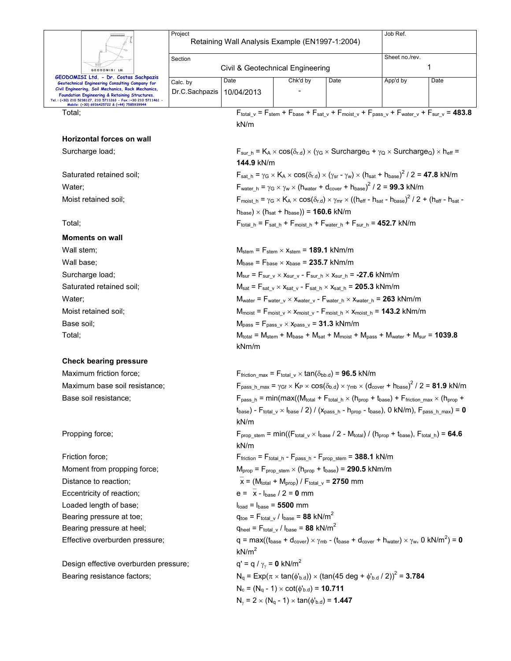|                                                                                                                                                                                                                                                                         | Project        | Retaining Wall Analysis Example (EN1997-1:2004)                                                                                            |                                                                                                                                |                                                                                                                                                                    | Job Ref.                                                                                                                                                               |                                                                                                                            |  |  |  |
|-------------------------------------------------------------------------------------------------------------------------------------------------------------------------------------------------------------------------------------------------------------------------|----------------|--------------------------------------------------------------------------------------------------------------------------------------------|--------------------------------------------------------------------------------------------------------------------------------|--------------------------------------------------------------------------------------------------------------------------------------------------------------------|------------------------------------------------------------------------------------------------------------------------------------------------------------------------|----------------------------------------------------------------------------------------------------------------------------|--|--|--|
|                                                                                                                                                                                                                                                                         |                |                                                                                                                                            |                                                                                                                                |                                                                                                                                                                    |                                                                                                                                                                        |                                                                                                                            |  |  |  |
|                                                                                                                                                                                                                                                                         | Section        | Civil & Geotechnical Engineering                                                                                                           |                                                                                                                                |                                                                                                                                                                    | Sheet no./rev.                                                                                                                                                         | 1                                                                                                                          |  |  |  |
| GEODOMISI Ltd<br>GEODOMISI Ltd. - Dr. Costas Sachpazis                                                                                                                                                                                                                  | Calc. by       | Date                                                                                                                                       | Chk'd by                                                                                                                       | Date                                                                                                                                                               | App'd by                                                                                                                                                               | Date                                                                                                                       |  |  |  |
| Geotechnical Engineering Consulting Company for<br>Civil Engineering, Soil Mechanics, Rock Mechanics,<br>Foundation Engineering & Retaining Structures.<br>Tel.: (+30) 210 5238127, 210 5711263 - Fax.:+30 210 5711461 -<br>Mobile: (+30) 6936425722 & (+44) 7585939944 | Dr.C.Sachpazis | 10/04/2013                                                                                                                                 |                                                                                                                                |                                                                                                                                                                    |                                                                                                                                                                        |                                                                                                                            |  |  |  |
| Total;                                                                                                                                                                                                                                                                  |                | kN/m                                                                                                                                       |                                                                                                                                |                                                                                                                                                                    |                                                                                                                                                                        | $F_{total_v}$ = $F_{stem}$ + $F_{base}$ + $F_{sat_v}$ + $F_{moist_v}$ + $F_{pass_v}$ + $F_{water_v}$ + $F_{sur_v}$ = 483.8 |  |  |  |
| <b>Horizontal forces on wall</b>                                                                                                                                                                                                                                        |                |                                                                                                                                            |                                                                                                                                |                                                                                                                                                                    |                                                                                                                                                                        |                                                                                                                            |  |  |  |
| Surcharge load;                                                                                                                                                                                                                                                         |                | 144.9 kN/m                                                                                                                                 |                                                                                                                                |                                                                                                                                                                    | $F_{\text{sur h}} = K_A \times \cos(\delta_{r.d}) \times (\gamma_G \times \text{Surcharge}_G + \gamma_Q \times \text{Surcharge}_Q) \times h_{\text{eff}} =$            |                                                                                                                            |  |  |  |
| Saturated retained soil;                                                                                                                                                                                                                                                |                |                                                                                                                                            |                                                                                                                                |                                                                                                                                                                    | $F_{\text{sat h}} = \gamma_G \times K_A \times \cos(\delta_{r.d}) \times (\gamma_{sr} - \gamma_w) \times (h_{\text{sat}} + h_{\text{base}})^2 / 2 = 47.8 \text{ kN/m}$ |                                                                                                                            |  |  |  |
| Water:                                                                                                                                                                                                                                                                  |                |                                                                                                                                            |                                                                                                                                |                                                                                                                                                                    | $F_{\text{water h}} = \gamma_G \times \gamma_W \times (h_{\text{water}} + d_{\text{cover}} + h_{\text{base}})^2 / 2 = 99.3 \text{ kN/m}$                               |                                                                                                                            |  |  |  |
| Moist retained soil:                                                                                                                                                                                                                                                    |                |                                                                                                                                            |                                                                                                                                |                                                                                                                                                                    |                                                                                                                                                                        |                                                                                                                            |  |  |  |
|                                                                                                                                                                                                                                                                         |                |                                                                                                                                            | $h_{base}$ ) × ( $h_{sat}$ + $h_{base}$ )) = <b>160.6</b> kN/m                                                                 |                                                                                                                                                                    |                                                                                                                                                                        |                                                                                                                            |  |  |  |
| Total;                                                                                                                                                                                                                                                                  |                |                                                                                                                                            | $F_{\text{total\_h}} = F_{\text{sat\_h}} + F_{\text{moist\_h}} + F_{\text{water\_h}} + F_{\text{sur\_h}} = 452.7 \text{ kN/m}$ |                                                                                                                                                                    |                                                                                                                                                                        |                                                                                                                            |  |  |  |
| <b>Moments on wall</b>                                                                                                                                                                                                                                                  |                |                                                                                                                                            |                                                                                                                                |                                                                                                                                                                    |                                                                                                                                                                        |                                                                                                                            |  |  |  |
| Wall stem;                                                                                                                                                                                                                                                              |                |                                                                                                                                            | $M_{stem}$ = $F_{stem}$ $\times$ $x_{stem}$ = 189.1 kNm/m                                                                      |                                                                                                                                                                    |                                                                                                                                                                        |                                                                                                                            |  |  |  |
| Wall base;                                                                                                                                                                                                                                                              |                |                                                                                                                                            | $M_{base}$ = $F_{base} \times x_{base}$ = 235.7 kNm/m                                                                          |                                                                                                                                                                    |                                                                                                                                                                        |                                                                                                                            |  |  |  |
| Surcharge load;                                                                                                                                                                                                                                                         |                | $M_{\text{sur}} = F_{\text{sur v}} \times x_{\text{sur v}} - F_{\text{sur h}} \times x_{\text{sur h}} = -27.6 \text{ kNm/m}$               |                                                                                                                                |                                                                                                                                                                    |                                                                                                                                                                        |                                                                                                                            |  |  |  |
| Saturated retained soil;                                                                                                                                                                                                                                                |                | $M_{sat}$ = $F_{sat}$ $_v$ $\times$ $X_{sat}$ $_v$ - $F_{sat}$ $_h$ $\times$ $X_{sat}$ $_h$ = 205.3 kNm/m                                  |                                                                                                                                |                                                                                                                                                                    |                                                                                                                                                                        |                                                                                                                            |  |  |  |
| Water;                                                                                                                                                                                                                                                                  |                | $M_{water}$ = $F_{water\_v}$ $\times$ $x_{water\_v}$ - $F_{water\_h}$ $\times$ $x_{water\_h}$ = 263 kNm/m                                  |                                                                                                                                |                                                                                                                                                                    |                                                                                                                                                                        |                                                                                                                            |  |  |  |
| Moist retained soil;                                                                                                                                                                                                                                                    |                | $M_{\text{moist}} = F_{\text{moist\_v}} \times x_{\text{moist\_v}} - F_{\text{moist\_h}} \times x_{\text{moist\_h}} = 143.2 \text{ kNm/m}$ |                                                                                                                                |                                                                                                                                                                    |                                                                                                                                                                        |                                                                                                                            |  |  |  |
| Base soil:                                                                                                                                                                                                                                                              |                | $Mpass = Fpass v \times Xpass v = 31.3 kNm/m$                                                                                              |                                                                                                                                |                                                                                                                                                                    |                                                                                                                                                                        |                                                                                                                            |  |  |  |
| Total;                                                                                                                                                                                                                                                                  |                |                                                                                                                                            |                                                                                                                                | $M_{\text{total}} = M_{\text{stem}} + M_{\text{base}} + M_{\text{sat}} + M_{\text{moist}} + M_{\text{pass}} + M_{\text{water}} + M_{\text{sur}} = 1039.8$<br>kNm/m |                                                                                                                                                                        |                                                                                                                            |  |  |  |
| <b>Check bearing pressure</b>                                                                                                                                                                                                                                           |                |                                                                                                                                            |                                                                                                                                |                                                                                                                                                                    |                                                                                                                                                                        |                                                                                                                            |  |  |  |
| Maximum friction force:                                                                                                                                                                                                                                                 |                |                                                                                                                                            | $F_{\text{friction max}} = F_{\text{total v}} \times \tan(\delta_{\text{bb.d}}) = 96.5 \text{ kN/m}$                           |                                                                                                                                                                    |                                                                                                                                                                        |                                                                                                                            |  |  |  |
| Maximum base soil resistance;                                                                                                                                                                                                                                           |                |                                                                                                                                            |                                                                                                                                |                                                                                                                                                                    | $F_{pass\_h\_max} = \gamma_{GF} \times K_P \times cos(\delta_{b.d}) \times \gamma_{mb} \times (d_{cover} + h_{base})^2 / 2 = 81.9$ kN/m                                |                                                                                                                            |  |  |  |
| Base soil resistance;                                                                                                                                                                                                                                                   |                |                                                                                                                                            | $F_{pass\_h}$ = min(max((Mtotal + Ftotal_h × (h <sub>prop</sub> + t <sub>base</sub> ) + Ffriction_max × (h <sub>prop</sub> +   |                                                                                                                                                                    |                                                                                                                                                                        |                                                                                                                            |  |  |  |
|                                                                                                                                                                                                                                                                         |                | kN/m                                                                                                                                       |                                                                                                                                |                                                                                                                                                                    | $t_{base}$ ) - $F_{total_v} \times I_{base}$ / 2) / ( $x_{pass_h}$ - $h_{prop}$ - $t_{base}$ ), 0 kN/m), $F_{pass_h\_max}$ ) = 0                                       |                                                                                                                            |  |  |  |
| Propping force;                                                                                                                                                                                                                                                         |                | kN/m                                                                                                                                       |                                                                                                                                |                                                                                                                                                                    | $F_{\text{prop stem}} = \min((F_{\text{total v}} \times I_{\text{base}} / 2 - M_{\text{total}}) / (h_{\text{prop}} + t_{\text{base}}), F_{\text{total h}}) = 64.6$     |                                                                                                                            |  |  |  |
| Friction force;                                                                                                                                                                                                                                                         |                |                                                                                                                                            | $F_{\text{friction}} = F_{\text{total\_h}} - F_{\text{pass\_h}} - F_{\text{prop\_stem}} = 388.1 \text{ kN/m}$                  |                                                                                                                                                                    |                                                                                                                                                                        |                                                                                                                            |  |  |  |
| Moment from propping force;                                                                                                                                                                                                                                             |                |                                                                                                                                            | $M_{prop} = F_{prop\_stem} \times (h_{prop} + t_{base}) = 290.5$ kNm/m                                                         |                                                                                                                                                                    |                                                                                                                                                                        |                                                                                                                            |  |  |  |
| Distance to reaction;                                                                                                                                                                                                                                                   |                | $\overline{x}$ = (M <sub>total</sub> + M <sub>prop</sub> ) / F <sub>total v</sub> = 2750 mm                                                |                                                                                                                                |                                                                                                                                                                    |                                                                                                                                                                        |                                                                                                                            |  |  |  |
| Eccentricity of reaction;                                                                                                                                                                                                                                               |                |                                                                                                                                            |                                                                                                                                | $e = \bar{x} - I_{base} / 2 = 0$ mm                                                                                                                                |                                                                                                                                                                        |                                                                                                                            |  |  |  |
| Loaded length of base;                                                                                                                                                                                                                                                  |                |                                                                                                                                            | $Iload = Ibase = 5500 mm$                                                                                                      |                                                                                                                                                                    |                                                                                                                                                                        |                                                                                                                            |  |  |  |
| Bearing pressure at toe;                                                                                                                                                                                                                                                |                |                                                                                                                                            | $q_{\text{toe}} = F_{\text{total} \text{v}} / I_{\text{base}} = 88 \text{ kN/m}^2$                                             |                                                                                                                                                                    |                                                                                                                                                                        |                                                                                                                            |  |  |  |
| Bearing pressure at heel;                                                                                                                                                                                                                                               |                |                                                                                                                                            |                                                                                                                                | $q_{\text{heel}} = F_{\text{total} \text{v}} / I_{\text{base}} = 88 \text{ kN/m}^2$                                                                                |                                                                                                                                                                        |                                                                                                                            |  |  |  |
| Effective overburden pressure;                                                                                                                                                                                                                                          |                | kN/m <sup>2</sup>                                                                                                                          |                                                                                                                                |                                                                                                                                                                    | $q = max((t_{base} + d_{cover}) \times \gamma_{mb} - (t_{base} + d_{cover} + h_{water}) \times \gamma_w, 0 kN/m^2) = 0$                                                |                                                                                                                            |  |  |  |
|                                                                                                                                                                                                                                                                         |                |                                                                                                                                            |                                                                                                                                |                                                                                                                                                                    |                                                                                                                                                                        |                                                                                                                            |  |  |  |
| Design effective overburden pressure;                                                                                                                                                                                                                                   |                | $q' = q / \gamma_{\gamma} = 0$ kN/m <sup>2</sup>                                                                                           |                                                                                                                                |                                                                                                                                                                    |                                                                                                                                                                        |                                                                                                                            |  |  |  |
| Bearing resistance factors;                                                                                                                                                                                                                                             |                |                                                                                                                                            |                                                                                                                                |                                                                                                                                                                    | $N_q = Exp(\pi \times tan(\phi_{b.d})) \times (tan(45 deg + \phi_{b.d} / 2))^2 = 3.784$                                                                                |                                                                                                                            |  |  |  |
|                                                                                                                                                                                                                                                                         |                |                                                                                                                                            | $N_c = (N_q - 1) \times \cot(\phi_{b.d}) = 10.711$                                                                             |                                                                                                                                                                    |                                                                                                                                                                        |                                                                                                                            |  |  |  |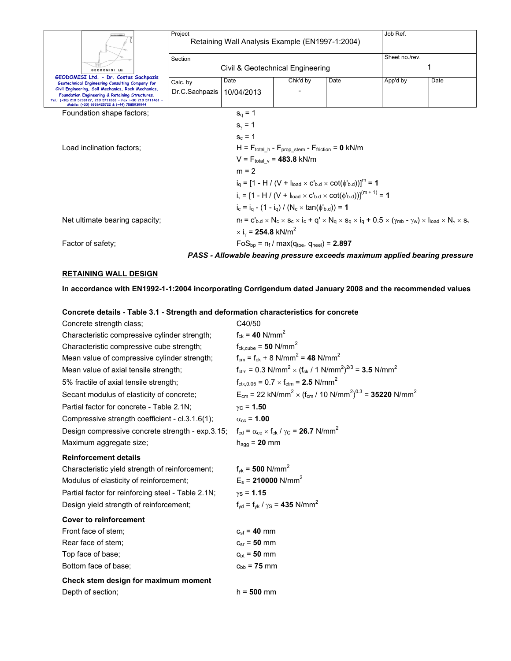|                                                                                                                                                                                                                      | Project        | Retaining Wall Analysis Example (EN1997-1:2004)          | Job Ref.                                                                      |                                                                                                                                                                     |                |      |
|----------------------------------------------------------------------------------------------------------------------------------------------------------------------------------------------------------------------|----------------|----------------------------------------------------------|-------------------------------------------------------------------------------|---------------------------------------------------------------------------------------------------------------------------------------------------------------------|----------------|------|
|                                                                                                                                                                                                                      | Section        |                                                          |                                                                               |                                                                                                                                                                     | Sheet no./rev. |      |
| GEODOMISI Ltd.                                                                                                                                                                                                       |                | Civil & Geotechnical Engineering                         |                                                                               |                                                                                                                                                                     |                | 1    |
| GEODOMISI Ltd. - Dr. Costas Sachpazis<br>Geotechnical Engineering Consulting Company for                                                                                                                             | Calc. by       | Date                                                     | Chk'd by                                                                      | Date                                                                                                                                                                | App'd by       | Date |
| Civil Engineering, Soil Mechanics, Rock Mechanics,<br>Foundation Engineering & Retaining Structures.<br>Tel.: (+30) 210 5238127, 210 5711263 - Fax.:+30 210 5711461 -<br>Mobile: (+30) 6936425722 & (+44) 7585939944 | Dr.C.Sachpazis | 10/04/2013                                               |                                                                               |                                                                                                                                                                     |                |      |
| Foundation shape factors;                                                                                                                                                                                            |                | $s_{0} = 1$                                              |                                                                               |                                                                                                                                                                     |                |      |
|                                                                                                                                                                                                                      |                | $s_{\gamma} = 1$                                         |                                                                               |                                                                                                                                                                     |                |      |
|                                                                                                                                                                                                                      |                | $s_c = 1$                                                |                                                                               |                                                                                                                                                                     |                |      |
| Load inclination factors;                                                                                                                                                                                            |                |                                                          | $H = F_{total h} - F_{proof stem} - F_{friction} = 0 kN/m$                    |                                                                                                                                                                     |                |      |
|                                                                                                                                                                                                                      |                |                                                          | $V = F_{total}$ $_{v} = 483.8$ kN/m                                           |                                                                                                                                                                     |                |      |
|                                                                                                                                                                                                                      |                | $m = 2$                                                  |                                                                               |                                                                                                                                                                     |                |      |
|                                                                                                                                                                                                                      |                |                                                          |                                                                               | $i_a = [1 - H / (V + I_{load} \times C'_{b,d} \times \cot(\phi'_{b,d}))]^m = 1$                                                                                     |                |      |
|                                                                                                                                                                                                                      |                |                                                          |                                                                               | $i_v = [1 - H / (V + I_{load} \times C_{bd} \times \cot(\phi_{bd}))]^{(m+1)} = 1$                                                                                   |                |      |
|                                                                                                                                                                                                                      |                |                                                          | $i_c = i_a - (1 - i_q) / (N_c \times tan(\phi_{b.d})) = 1$                    |                                                                                                                                                                     |                |      |
| Net ultimate bearing capacity;                                                                                                                                                                                       |                |                                                          |                                                                               | $n_f = c'_{b,d} \times N_c \times s_c \times i_c + q' \times N_q \times s_q \times i_q + 0.5 \times (\gamma_{mb} - \gamma_w) \times l_{load} \times N_v \times s_v$ |                |      |
|                                                                                                                                                                                                                      |                | $\times$ i <sub>v</sub> = <b>254.8</b> kN/m <sup>2</sup> |                                                                               |                                                                                                                                                                     |                |      |
| Factor of safety;                                                                                                                                                                                                    |                |                                                          | $FoS_{\text{bb}} = n_f / \text{max}(q_{\text{toe}}, q_{\text{heel}}) = 2.897$ |                                                                                                                                                                     |                |      |
|                                                                                                                                                                                                                      |                |                                                          |                                                                               | PASS - Allowable bearing pressure exceeds maximum applied bearing pressure                                                                                          |                |      |

### **RETAINING WALL DESIGN**

**In accordance with EN1992-1-1:2004 incorporating Corrigendum dated January 2008 and the recommended values** 

**Concrete details - Table 3.1 - Strength and deformation characteristics for concrete** 

| Concrete strength class;                                                                                               | C40/50                                                                                                                       |
|------------------------------------------------------------------------------------------------------------------------|------------------------------------------------------------------------------------------------------------------------------|
| Characteristic compressive cylinder strength;                                                                          | $f_{ck} = 40$ N/mm <sup>2</sup>                                                                                              |
| Characteristic compressive cube strength;                                                                              | $f_{ck,cube} = 50$ N/mm <sup>2</sup>                                                                                         |
| Mean value of compressive cylinder strength;                                                                           | $f_{cm} = f_{ck} + 8$ N/mm <sup>2</sup> = 48 N/mm <sup>2</sup>                                                               |
| Mean value of axial tensile strength;                                                                                  | $f_{\text{ctm}} = 0.3 \text{ N/mm}^2 \times (f_{\text{ck}} / 1 \text{ N/mm}^2)^{2/3} = 3.5 \text{ N/mm}^2$                   |
| 5% fractile of axial tensile strength;                                                                                 | $f_{\text{ctk},0.05} = 0.7 \times f_{\text{ctm}} = 2.5 \text{ N/mm}^2$                                                       |
| Secant modulus of elasticity of concrete;                                                                              | $E_{cm}$ = 22 kN/mm <sup>2</sup> × (f <sub>cm</sub> / 10 N/mm <sup>2</sup> ) <sup>0.3</sup> = <b>35220</b> N/mm <sup>2</sup> |
| Partial factor for concrete - Table 2.1N;                                                                              | $γC = 1.50$                                                                                                                  |
| Compressive strength coefficient - cl.3.1.6(1);                                                                        | $\alpha_{\rm cc}$ = 1.00                                                                                                     |
| Design compressive concrete strength - exp.3.15; $f_{cd} = \alpha_{cc} \times f_{ck} / \gamma_c = 26.7 \text{ N/mm}^2$ |                                                                                                                              |
| Maximum aggregate size;                                                                                                | $h_{\text{aqq}} = 20$ mm                                                                                                     |
| <b>Reinforcement details</b>                                                                                           |                                                                                                                              |
| Characteristic yield strength of reinforcement;                                                                        | $f_{\text{vk}} = 500 \text{ N/mm}^2$                                                                                         |
| Modulus of elasticity of reinforcement;                                                                                | $E_s$ = 210000 N/mm <sup>2</sup>                                                                                             |
| Partial factor for reinforcing steel - Table 2.1N;                                                                     | $y_S = 1.15$                                                                                                                 |
| Design yield strength of reinforcement;                                                                                | $f_{\text{yd}} = f_{\text{vk}} / \gamma_{\text{S}} = 435 \text{ N/mm}^2$                                                     |
| <b>Cover to reinforcement</b>                                                                                          |                                                                                                                              |
| Front face of stem;                                                                                                    | $c_{\rm sf} = 40 \, \rm mm$                                                                                                  |
| Rear face of stem;                                                                                                     | $c_{sr} = 50$ mm                                                                                                             |
| Top face of base;                                                                                                      | $c_{\rm bt}$ = 50 mm                                                                                                         |
| Bottom face of base;                                                                                                   | $c_{\rm bb}$ = 75 mm                                                                                                         |
| Check stem design for maximum moment                                                                                   |                                                                                                                              |
| Depth of section;                                                                                                      | $h = 500$ mm                                                                                                                 |
|                                                                                                                        |                                                                                                                              |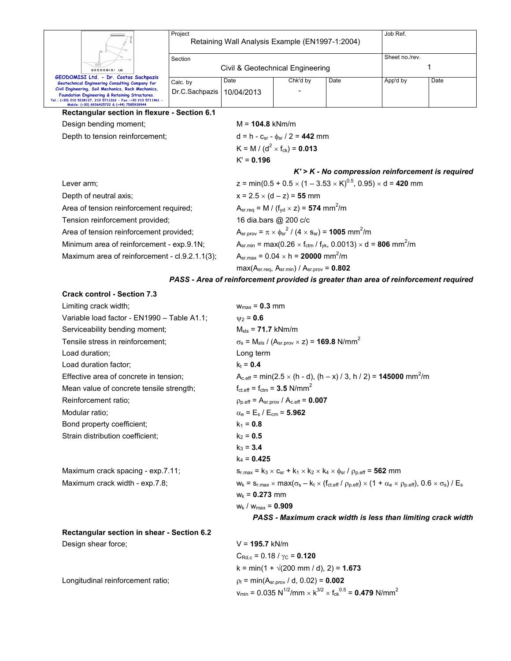|                                                                                                                                                                                                                      | Project<br>Retaining Wall Analysis Example (EN1997-1:2004) |                                                    |                                                                                                   | Job Ref.                                              |                |      |  |  |  |
|----------------------------------------------------------------------------------------------------------------------------------------------------------------------------------------------------------------------|------------------------------------------------------------|----------------------------------------------------|---------------------------------------------------------------------------------------------------|-------------------------------------------------------|----------------|------|--|--|--|
|                                                                                                                                                                                                                      | Section                                                    |                                                    |                                                                                                   |                                                       | Sheet no./rev. |      |  |  |  |
| GEODOMISI Ltd.                                                                                                                                                                                                       | Civil & Geotechnical Engineering                           |                                                    |                                                                                                   |                                                       |                |      |  |  |  |
| GEODOMISI Ltd. - Dr. Costas Sachpazis<br>Geotechnical Engineering Consulting Company for                                                                                                                             | Calc. by                                                   | Date                                               | Chk'd by                                                                                          | Date                                                  | App'd by       | Date |  |  |  |
| Civil Engineering, Soil Mechanics, Rock Mechanics,<br>Foundation Engineering & Retaining Structures.<br>Tel.: (+30) 210 5238127, 210 5711263 - Fax.:+30 210 5711461 -<br>Mobile: (+30) 6936425722 & (+44) 7585939944 | Dr.C.Sachpazis                                             | 10/04/2013                                         |                                                                                                   |                                                       |                |      |  |  |  |
| Rectangular section in flexure - Section 6.1                                                                                                                                                                         |                                                            |                                                    |                                                                                                   |                                                       |                |      |  |  |  |
| Design bending moment;                                                                                                                                                                                               |                                                            |                                                    |                                                                                                   |                                                       |                |      |  |  |  |
| Depth to tension reinforcement;                                                                                                                                                                                      |                                                            |                                                    | $d = h - c_{sr} - \phi_{sr} / 2 = 442$ mm                                                         |                                                       |                |      |  |  |  |
|                                                                                                                                                                                                                      |                                                            | K = M / ( $d^2$ × f <sub>ck</sub> ) = <b>0.013</b> |                                                                                                   |                                                       |                |      |  |  |  |
|                                                                                                                                                                                                                      |                                                            |                                                    |                                                                                                   | $K' = 0.196$                                          |                |      |  |  |  |
|                                                                                                                                                                                                                      |                                                            |                                                    |                                                                                                   | $K'$ > $K$ - No compression reinforcement is required |                |      |  |  |  |
| Lever arm;                                                                                                                                                                                                           |                                                            |                                                    | z = min(0.5 + 0.5 $\times$ (1 – 3.53 $\times$ K) <sup>0.5</sup> , 0.95) $\times$ d = 420 mm       |                                                       |                |      |  |  |  |
| Depth of neutral axis;                                                                                                                                                                                               |                                                            |                                                    | $x = 2.5 \times (d - z) = 55$ mm                                                                  |                                                       |                |      |  |  |  |
| Area of tension reinforcement required;                                                                                                                                                                              |                                                            |                                                    | $A_{sr.read} = M / (f_{yd} \times z) = 574$ mm <sup>2</sup> /m                                    |                                                       |                |      |  |  |  |
| Tension reinforcement provided;                                                                                                                                                                                      |                                                            |                                                    | 16 dia.bars @ 200 c/c                                                                             |                                                       |                |      |  |  |  |
| Area of tension reinforcement provided;                                                                                                                                                                              |                                                            |                                                    | $A_{\rm sr. prov} = \pi \times \phi_{\rm sr}^2 / (4 \times s_{\rm sr}) = 1005$ mm <sup>2</sup> /m |                                                       |                |      |  |  |  |
| Minimum area of reinforcement - exp.9.1N;                                                                                                                                                                            |                                                            |                                                    | $A_{sr,min} = max(0.26 \times f_{ctm} / f_{yk}, 0.0013) \times d = 806$ mm <sup>2</sup> /m        |                                                       |                |      |  |  |  |
| Maximum area of reinforcement - cl.9.2.1.1(3);                                                                                                                                                                       |                                                            |                                                    | $A_{sr,max} = 0.04 \times h = 20000$ mm <sup>2</sup> /m                                           |                                                       |                |      |  |  |  |
|                                                                                                                                                                                                                      |                                                            |                                                    | $max(Asr.read, Asr.min) / Asr.nrov = 0.802$                                                       |                                                       |                |      |  |  |  |

### *PASS - Area of reinforcement provided is greater than area of reinforcement required*

 $v_{\text{min}}$  = 0.035 N<sup>1/2</sup>/mm  $\times$  k<sup>3/2</sup>  $\times$  f<sub>ck</sub><sup>0.5</sup> = **0.479** N/mm<sup>2</sup>

#### **Crack control - Section 7.3**

| Limiting crack width:                       | $w_{max} = 0.3$ mm                                                                                                                                                               |
|---------------------------------------------|----------------------------------------------------------------------------------------------------------------------------------------------------------------------------------|
| Variable load factor - EN1990 - Table A1.1; | $v_2 = 0.6$                                                                                                                                                                      |
| Serviceability bending moment;              | $M_{\rm{sls}} = 71.7$ kNm/m                                                                                                                                                      |
| Tensile stress in reinforcement;            | $\sigma_s$ = M <sub>sls</sub> / (A <sub>sr.prov</sub> $\times$ z) = <b>169.8</b> N/mm <sup>2</sup>                                                                               |
| Load duration:                              | Long term                                                                                                                                                                        |
| Load duration factor:                       | $k_t = 0.4$                                                                                                                                                                      |
| Effective area of concrete in tension;      | $A_{c.eff}$ = min(2.5 $\times$ (h - d), (h – x) / 3, h / 2) = <b>145000</b> mm <sup>2</sup> /m                                                                                   |
| Mean value of concrete tensile strength;    | $f_{\text{ct.eff}} = f_{\text{ctm}} = 3.5 \text{ N/mm}^2$                                                                                                                        |
| Reinforcement ratio;                        | $\rho_{p.eff} = A_{sr.prov} / A_{c.eff} = 0.007$                                                                                                                                 |
| Modular ratio:                              | $\alpha_{\rm e}$ = E <sub>s</sub> / E <sub>cm</sub> = 5.962                                                                                                                      |
| Bond property coefficient;                  | $k_1 = 0.8$                                                                                                                                                                      |
| Strain distribution coefficient;            | $k_2 = 0.5$                                                                                                                                                                      |
|                                             | $k_3 = 3.4$                                                                                                                                                                      |
|                                             | $k_4$ = 0.425                                                                                                                                                                    |
| Maximum crack spacing - exp.7.11;           | $s_{r,max} = k_3 \times c_{sr} + k_1 \times k_2 \times k_4 \times \phi_{sr} / \rho_{p,eff} = 562$ mm                                                                             |
| Maximum crack width - exp.7.8;              | $w_k = s_{r,\text{max}} \times \text{max}(\sigma_s - k_t \times (f_{\text{cteff}} / p_{p,\text{eff}}) \times (1 + \alpha_e \times p_{p,\text{eff}}), 0.6 \times \sigma_s) / E_s$ |
|                                             | $W_k = 0.273$ mm                                                                                                                                                                 |
|                                             | $W_k$ / $W_{max}$ = 0.909                                                                                                                                                        |
|                                             | PASS - Maximum crack width is less than limiting crack width                                                                                                                     |
| Rectangular section in shear - Section 6.2  |                                                                                                                                                                                  |
| Design shear force;                         | $V = 195.7$ kN/m                                                                                                                                                                 |
|                                             | $C_{\text{Rd.c}}$ = 0.18 / $\gamma_{\text{C}}$ = 0.120                                                                                                                           |
|                                             | $k = min(1 + \sqrt{200 \text{ mm}/ d})$ , 2) = 1.673                                                                                                                             |
| Longitudinal reinforcement ratio;           | $\rho_1$ = min(A <sub>sr.prov</sub> / d, 0.02) = <b>0.002</b>                                                                                                                    |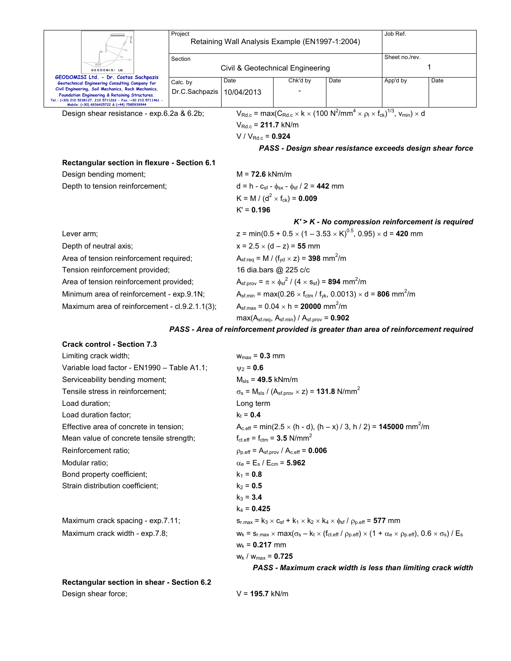|                                                                                                                                                                                                                      |                                                |                                                                                                    |                                                                                                                                                               |                                                                                                                              | Job Ref.       |      |  |  |  |
|----------------------------------------------------------------------------------------------------------------------------------------------------------------------------------------------------------------------|------------------------------------------------|----------------------------------------------------------------------------------------------------|---------------------------------------------------------------------------------------------------------------------------------------------------------------|------------------------------------------------------------------------------------------------------------------------------|----------------|------|--|--|--|
|                                                                                                                                                                                                                      | Project                                        | Retaining Wall Analysis Example (EN1997-1:2004)                                                    |                                                                                                                                                               |                                                                                                                              |                |      |  |  |  |
|                                                                                                                                                                                                                      | Section                                        |                                                                                                    |                                                                                                                                                               |                                                                                                                              | Sheet no./rev. |      |  |  |  |
| GEODOMISI Ltd.                                                                                                                                                                                                       |                                                | Civil & Geotechnical Engineering                                                                   |                                                                                                                                                               | 1                                                                                                                            |                |      |  |  |  |
| GEODOMISI Ltd. - Dr. Costas Sachpazis<br>Geotechnical Engineering Consulting Company for                                                                                                                             | Calc. by                                       | Chk'd by<br>Date<br>Date                                                                           |                                                                                                                                                               |                                                                                                                              | App'd by       | Date |  |  |  |
| Civil Engineering, Soil Mechanics, Rock Mechanics,<br>Foundation Engineering & Retaining Structures.<br>Tel.: (+30) 210 5238127, 210 5711263 - Fax.:+30 210 5711461 -<br>Mobile: (+30) 6936425722 & (+44) 7585939944 | Dr.C.Sachpazis                                 | 10/04/2013                                                                                         |                                                                                                                                                               |                                                                                                                              |                |      |  |  |  |
| Design shear resistance - exp.6.2a & 6.2b;                                                                                                                                                                           |                                                |                                                                                                    | $V_{\text{Rd.c}}$ = max( $C_{\text{Rd.c}} \times k \times (100 \text{ N}^2/\text{mm}^4 \times \rho_l \times f_{\text{ck}})^{1/3},$ $V_{\text{min}}) \times d$ |                                                                                                                              |                |      |  |  |  |
|                                                                                                                                                                                                                      |                                                | $V_{Rd.c} = 211.7$ kN/m                                                                            |                                                                                                                                                               |                                                                                                                              |                |      |  |  |  |
|                                                                                                                                                                                                                      |                                                |                                                                                                    | V / $V_{Rd.c}$ = 0.924                                                                                                                                        |                                                                                                                              |                |      |  |  |  |
|                                                                                                                                                                                                                      |                                                |                                                                                                    |                                                                                                                                                               | PASS - Design shear resistance exceeds design shear force                                                                    |                |      |  |  |  |
| Rectangular section in flexure - Section 6.1                                                                                                                                                                         |                                                |                                                                                                    |                                                                                                                                                               |                                                                                                                              |                |      |  |  |  |
| Design bending moment;                                                                                                                                                                                               |                                                |                                                                                                    |                                                                                                                                                               |                                                                                                                              |                |      |  |  |  |
| Depth to tension reinforcement;                                                                                                                                                                                      |                                                |                                                                                                    | $d = h - c_{sf} - \phi_{sx} - \phi_{sf} / 2 = 442$ mm                                                                                                         |                                                                                                                              |                |      |  |  |  |
|                                                                                                                                                                                                                      |                                                |                                                                                                    | K = M / ( $d^2$ × f <sub>ck</sub> ) = 0.009                                                                                                                   |                                                                                                                              |                |      |  |  |  |
|                                                                                                                                                                                                                      |                                                | $K' = 0.196$                                                                                       |                                                                                                                                                               |                                                                                                                              |                |      |  |  |  |
|                                                                                                                                                                                                                      |                                                |                                                                                                    |                                                                                                                                                               | $K'$ > $K$ - No compression reinforcement is required                                                                        |                |      |  |  |  |
| Lever arm;                                                                                                                                                                                                           |                                                |                                                                                                    | z = min(0.5 + 0.5 $\times$ (1 – 3.53 $\times$ K) <sup>0.5</sup> , 0.95) $\times$ d = 420 mm                                                                   |                                                                                                                              |                |      |  |  |  |
| Depth of neutral axis;                                                                                                                                                                                               |                                                |                                                                                                    | $x = 2.5 \times (d - z) = 55$ mm                                                                                                                              |                                                                                                                              |                |      |  |  |  |
| Area of tension reinforcement required;                                                                                                                                                                              |                                                |                                                                                                    | $A_{\rm sf.req} = M / (f_{\rm yd} \times z) = 398$ mm <sup>2</sup> /m                                                                                         |                                                                                                                              |                |      |  |  |  |
| Tension reinforcement provided;                                                                                                                                                                                      |                                                |                                                                                                    | 16 dia.bars @ 225 c/c                                                                                                                                         |                                                                                                                              |                |      |  |  |  |
|                                                                                                                                                                                                                      | Area of tension reinforcement provided;        |                                                                                                    | $A_{\rm sf.prov} = \pi \times \phi_{\rm sf}^2 / (4 \times s_{\rm sf}) = 894 \, \text{mm}^2/\text{m}$                                                          |                                                                                                                              |                |      |  |  |  |
| Minimum area of reinforcement - exp.9.1N;                                                                                                                                                                            |                                                |                                                                                                    |                                                                                                                                                               | $A_{\rm sf.min}$ = max(0.26 $\times$ f <sub>ctm</sub> / f <sub>yk</sub> , 0.0013) $\times$ d = <b>806</b> mm <sup>2</sup> /m |                |      |  |  |  |
|                                                                                                                                                                                                                      | Maximum area of reinforcement - cl.9.2.1.1(3); |                                                                                                    | $A_{\rm sf, max}$ = 0.04 $\times$ h = 20000 mm <sup>2</sup> /m                                                                                                |                                                                                                                              |                |      |  |  |  |
|                                                                                                                                                                                                                      |                                                |                                                                                                    | $max(Asf.read, Asf.min) / Asf.prov = 0.902$                                                                                                                   |                                                                                                                              |                |      |  |  |  |
|                                                                                                                                                                                                                      |                                                |                                                                                                    |                                                                                                                                                               | PASS - Area of reinforcement provided is greater than area of reinforcement required                                         |                |      |  |  |  |
| <b>Crack control - Section 7.3</b>                                                                                                                                                                                   |                                                |                                                                                                    |                                                                                                                                                               |                                                                                                                              |                |      |  |  |  |
| Limiting crack width;                                                                                                                                                                                                |                                                |                                                                                                    | $w_{max} = 0.3$ mm                                                                                                                                            |                                                                                                                              |                |      |  |  |  |
|                                                                                                                                                                                                                      | Variable load factor - EN1990 - Table A1.1;    |                                                                                                    | $\psi_2 = 0.6$                                                                                                                                                |                                                                                                                              |                |      |  |  |  |
| Serviceability bending moment;                                                                                                                                                                                       |                                                |                                                                                                    | $M_{\rm sls}$ = 49.5 kNm/m                                                                                                                                    |                                                                                                                              |                |      |  |  |  |
| Tensile stress in reinforcement:                                                                                                                                                                                     |                                                | $\sigma_s$ = M <sub>sls</sub> / (A <sub>sf.prov</sub> $\times$ z) = <b>131.8</b> N/mm <sup>2</sup> |                                                                                                                                                               |                                                                                                                              |                |      |  |  |  |
| Load duration;                                                                                                                                                                                                       |                                                |                                                                                                    | Long term                                                                                                                                                     |                                                                                                                              |                |      |  |  |  |
| Load duration factor;                                                                                                                                                                                                |                                                | $k_t = 0.4$                                                                                        |                                                                                                                                                               |                                                                                                                              |                |      |  |  |  |
| Effective area of concrete in tension;                                                                                                                                                                               |                                                | $A_{c.eff}$ = min(2.5 $\times$ (h - d), (h – x) / 3, h / 2) = <b>145000</b> mm <sup>2</sup> /m     |                                                                                                                                                               |                                                                                                                              |                |      |  |  |  |
| Mean value of concrete tensile strength;                                                                                                                                                                             |                                                | $f_{\text{ct.eff}} = f_{\text{ctm}} = 3.5 \text{ N/mm}^2$                                          |                                                                                                                                                               |                                                                                                                              |                |      |  |  |  |
| Reinforcement ratio;                                                                                                                                                                                                 |                                                | $p_{p,eff} = A_{sf,prov} / A_{c,eff} = 0.006$                                                      |                                                                                                                                                               |                                                                                                                              |                |      |  |  |  |
| Modular ratio;                                                                                                                                                                                                       |                                                | $\alpha_{\rm e}$ = E <sub>s</sub> / E <sub>cm</sub> = 5.962                                        |                                                                                                                                                               |                                                                                                                              |                |      |  |  |  |
| Bond property coefficient;                                                                                                                                                                                           |                                                | $k_1 = 0.8$                                                                                        |                                                                                                                                                               |                                                                                                                              |                |      |  |  |  |

Maximum crack spacing - exp.7.11;  $s_{r,max} = k_3 \times c_{sf} + k_1 \times k_2 \times k_4 \times \phi_{sf} / \rho_{p,eff} = 577$  mm Maximum crack width - exp.7.8;  $w_k = s_{r,\text{max}} \times \text{max}(\sigma_s - k_t \times (f_{\text{cteff}} / \rho_{p,\text{eff}}) \times (1 + \alpha_e \times \rho_{p,\text{eff}}), 0.6 \times \sigma_s) / E_s$ wk = **0.217** mm wk / wmax = **0.725**

*PASS - Maximum crack width is less than limiting crack width* 

**Rectangular section in shear - Section 6.2**  Design shear force; V = 195.7 kN/m

Strain distribution coefficient;  $k_2 = 0.5$ 

 $k_3 = 3.4$ k4 = **0.425**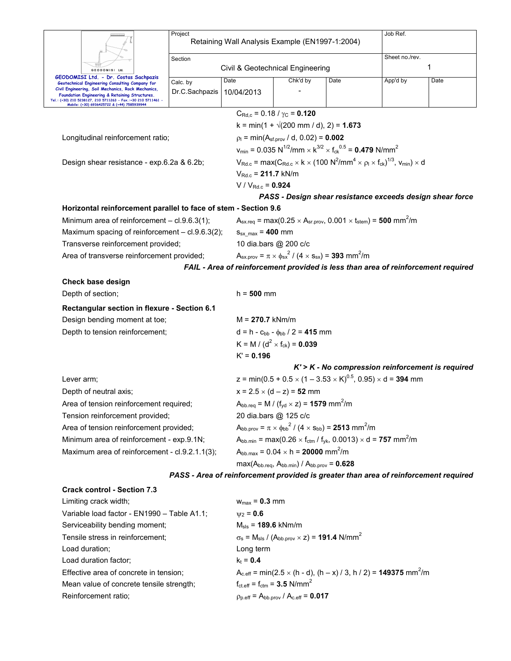|                                                                                                                                                                                                                                                                                                                  | Project                    | Retaining Wall Analysis Example (EN1997-1:2004)                          | Job Ref.                                                                                                                                                                                 |                                                                                                                            |                                                                                                                      |      |  |  |  |
|------------------------------------------------------------------------------------------------------------------------------------------------------------------------------------------------------------------------------------------------------------------------------------------------------------------|----------------------------|--------------------------------------------------------------------------|------------------------------------------------------------------------------------------------------------------------------------------------------------------------------------------|----------------------------------------------------------------------------------------------------------------------------|----------------------------------------------------------------------------------------------------------------------|------|--|--|--|
|                                                                                                                                                                                                                                                                                                                  | Section                    |                                                                          |                                                                                                                                                                                          |                                                                                                                            | Sheet no./rev.                                                                                                       |      |  |  |  |
| GEODOMISI Ltd.                                                                                                                                                                                                                                                                                                   |                            | Civil & Geotechnical Engineering                                         | 1                                                                                                                                                                                        |                                                                                                                            |                                                                                                                      |      |  |  |  |
| GEODOMISI Ltd. - Dr. Costas Sachpazis<br>Geotechnical Engineering Consulting Company for<br>Civil Engineering, Soil Mechanics, Rock Mechanics,<br>Foundation Engineering & Retaining Structures.<br>Tel.: (+30) 210 5238127, 210 5711263 - Fax.:+30 210 5711461 -<br>Mobile: (+30) 6936425722 & (+44) 7585939944 | Calc. by<br>Dr.C.Sachpazis | Date<br>10/04/2013                                                       | Chk'd by                                                                                                                                                                                 | Date                                                                                                                       | App'd by                                                                                                             | Date |  |  |  |
|                                                                                                                                                                                                                                                                                                                  |                            |                                                                          | $C_{\text{Rd},c}$ = 0.18 / $\gamma_{\text{C}}$ = 0.120                                                                                                                                   |                                                                                                                            |                                                                                                                      |      |  |  |  |
|                                                                                                                                                                                                                                                                                                                  |                            |                                                                          | $k = min(1 + \sqrt{200 \text{ mm}/ d})$ , 2) = 1.673                                                                                                                                     |                                                                                                                            |                                                                                                                      |      |  |  |  |
| Longitudinal reinforcement ratio;                                                                                                                                                                                                                                                                                |                            |                                                                          | $p_1 = min(A_{sf.prov} / d, 0.02) = 0.002$                                                                                                                                               |                                                                                                                            |                                                                                                                      |      |  |  |  |
|                                                                                                                                                                                                                                                                                                                  |                            |                                                                          |                                                                                                                                                                                          | $v_{\text{min}} = 0.035 \text{ N}^{1/2}/\text{mm} \times \text{K}^{3/2} \times f_{\text{ck}}^{0.5} = 0.479 \text{ N/mm}^2$ |                                                                                                                      |      |  |  |  |
| Design shear resistance - exp.6.2a & 6.2b;                                                                                                                                                                                                                                                                       |                            |                                                                          | $V_{\text{Rd.c}}$ = max( $C_{\text{Rd.c}} \times k \times (100 \text{ N}^2/\text{mm}^4 \times \rho_l \times f_{\text{ck}})^{1/3}$ , $V_{\text{min}} \times d$<br>$V_{Rd.c} = 211.7$ kN/m |                                                                                                                            |                                                                                                                      |      |  |  |  |
|                                                                                                                                                                                                                                                                                                                  |                            |                                                                          |                                                                                                                                                                                          |                                                                                                                            |                                                                                                                      |      |  |  |  |
|                                                                                                                                                                                                                                                                                                                  |                            | $V / V_{Rd.c} = 0.924$                                                   |                                                                                                                                                                                          |                                                                                                                            |                                                                                                                      |      |  |  |  |
|                                                                                                                                                                                                                                                                                                                  |                            |                                                                          |                                                                                                                                                                                          |                                                                                                                            | PASS - Design shear resistance exceeds design shear force                                                            |      |  |  |  |
| Horizontal reinforcement parallel to face of stem - Section 9.6                                                                                                                                                                                                                                                  |                            |                                                                          |                                                                                                                                                                                          |                                                                                                                            |                                                                                                                      |      |  |  |  |
| Minimum area of reinforcement - cl.9.6.3(1);                                                                                                                                                                                                                                                                     |                            |                                                                          |                                                                                                                                                                                          |                                                                                                                            | $A_{\text{sx.req}} = \max(0.25 \times A_{\text{sr.prov}}, 0.001 \times t_{\text{stem}}) = 500 \text{ mm}^2/\text{m}$ |      |  |  |  |
| Maximum spacing of reinforcement - cl.9.6.3(2);                                                                                                                                                                                                                                                                  |                            | $S_{sx\_max}$ = 400 mm                                                   |                                                                                                                                                                                          |                                                                                                                            |                                                                                                                      |      |  |  |  |
| Transverse reinforcement provided;                                                                                                                                                                                                                                                                               |                            |                                                                          | 10 dia.bars @ 200 c/c                                                                                                                                                                    |                                                                                                                            |                                                                                                                      |      |  |  |  |
| Area of transverse reinforcement provided;                                                                                                                                                                                                                                                                       |                            |                                                                          | $A_{sx,prov} = \pi \times \phi_{sx}^2 / (4 \times s_{sx}) = 393$ mm <sup>2</sup> /m                                                                                                      |                                                                                                                            |                                                                                                                      |      |  |  |  |
|                                                                                                                                                                                                                                                                                                                  |                            |                                                                          |                                                                                                                                                                                          |                                                                                                                            | FAIL - Area of reinforcement provided is less than area of reinforcement required                                    |      |  |  |  |
| Check base design                                                                                                                                                                                                                                                                                                |                            |                                                                          |                                                                                                                                                                                          |                                                                                                                            |                                                                                                                      |      |  |  |  |
| Depth of section;                                                                                                                                                                                                                                                                                                |                            | $h = 500$ mm                                                             |                                                                                                                                                                                          |                                                                                                                            |                                                                                                                      |      |  |  |  |
| Rectangular section in flexure - Section 6.1                                                                                                                                                                                                                                                                     |                            |                                                                          |                                                                                                                                                                                          |                                                                                                                            |                                                                                                                      |      |  |  |  |
| Design bending moment at toe;                                                                                                                                                                                                                                                                                    |                            | $M = 270.7$ kNm/m                                                        |                                                                                                                                                                                          |                                                                                                                            |                                                                                                                      |      |  |  |  |
| Depth to tension reinforcement;                                                                                                                                                                                                                                                                                  |                            |                                                                          | $d = h - c_{bb} - \phi_{bb} / 2 = 415$ mm                                                                                                                                                |                                                                                                                            |                                                                                                                      |      |  |  |  |
|                                                                                                                                                                                                                                                                                                                  |                            | K = M / ( $d^2$ × f <sub>ck</sub> ) = 0.039                              |                                                                                                                                                                                          |                                                                                                                            |                                                                                                                      |      |  |  |  |
|                                                                                                                                                                                                                                                                                                                  |                            | $K' = 0.196$                                                             |                                                                                                                                                                                          |                                                                                                                            |                                                                                                                      |      |  |  |  |
|                                                                                                                                                                                                                                                                                                                  |                            |                                                                          |                                                                                                                                                                                          |                                                                                                                            | $K'$ > $K$ - No compression reinforcement is required                                                                |      |  |  |  |
| Lever arm;                                                                                                                                                                                                                                                                                                       |                            |                                                                          |                                                                                                                                                                                          |                                                                                                                            | z = min(0.5 + 0.5 $\times$ (1 – 3.53 $\times$ K) <sup>0.5</sup> , 0.95) $\times$ d = <b>394</b> mm                   |      |  |  |  |
| Depth of neutral axis;                                                                                                                                                                                                                                                                                           |                            |                                                                          | $x = 2.5 \times (d - z) = 52$ mm                                                                                                                                                         |                                                                                                                            |                                                                                                                      |      |  |  |  |
| Area of tension reinforcement required;                                                                                                                                                                                                                                                                          |                            |                                                                          | $A_{\text{bb}.\text{req}} = M / (f_{\text{yd}} \times z) = 1579 \text{ mm}^2/\text{m}$                                                                                                   |                                                                                                                            |                                                                                                                      |      |  |  |  |
| Tension reinforcement provided;                                                                                                                                                                                                                                                                                  |                            |                                                                          | 20 dia.bars @ 125 c/c                                                                                                                                                                    |                                                                                                                            |                                                                                                                      |      |  |  |  |
| Area of tension reinforcement provided;                                                                                                                                                                                                                                                                          |                            |                                                                          |                                                                                                                                                                                          | $A_{\text{bb}.\text{prov}} = \pi \times \phi_{\text{bb}}^2 / (4 \times s_{\text{bb}}) = 2513 \text{ mm}^2/\text{m}$        |                                                                                                                      |      |  |  |  |
| Minimum area of reinforcement - exp.9.1N;                                                                                                                                                                                                                                                                        |                            |                                                                          | $A_{\text{bb,min}} = \max(0.26 \times f_{\text{ctm}} / f_{\text{yk}}, 0.0013) \times d = 757 \text{ mm}^2/\text{m}$                                                                      |                                                                                                                            |                                                                                                                      |      |  |  |  |
| Maximum area of reinforcement - cl.9.2.1.1(3);                                                                                                                                                                                                                                                                   |                            |                                                                          | $A_{bb,max} = 0.04 \times h = 20000 \text{ mm}^2/\text{m}$                                                                                                                               |                                                                                                                            |                                                                                                                      |      |  |  |  |
|                                                                                                                                                                                                                                                                                                                  |                            | $max(A_{bb\text{.reg}}, A_{bb\text{.min}}) / A_{bb\text{.prov}} = 0.628$ |                                                                                                                                                                                          |                                                                                                                            |                                                                                                                      |      |  |  |  |
|                                                                                                                                                                                                                                                                                                                  |                            |                                                                          |                                                                                                                                                                                          |                                                                                                                            | PASS - Area of reinforcement provided is greater than area of reinforcement required                                 |      |  |  |  |
| <b>Crack control - Section 7.3</b>                                                                                                                                                                                                                                                                               |                            |                                                                          |                                                                                                                                                                                          |                                                                                                                            |                                                                                                                      |      |  |  |  |
| Limiting crack width;                                                                                                                                                                                                                                                                                            |                            | $w_{max} = 0.3$ mm                                                       |                                                                                                                                                                                          |                                                                                                                            |                                                                                                                      |      |  |  |  |
| Variable load factor - EN1990 - Table A1.1;                                                                                                                                                                                                                                                                      |                            | $\psi_2 = 0.6$                                                           |                                                                                                                                                                                          |                                                                                                                            |                                                                                                                      |      |  |  |  |
| Serviceability bending moment;                                                                                                                                                                                                                                                                                   |                            | $M_{\rm sls}$ = 189.6 kNm/m                                              |                                                                                                                                                                                          |                                                                                                                            |                                                                                                                      |      |  |  |  |
| Tensile stress in reinforcement;                                                                                                                                                                                                                                                                                 |                            |                                                                          | $\sigma_s$ = M <sub>sls</sub> / (A <sub>bb.prov</sub> $\times$ z) = <b>191.4</b> N/mm <sup>2</sup>                                                                                       |                                                                                                                            |                                                                                                                      |      |  |  |  |
| Load duration;                                                                                                                                                                                                                                                                                                   |                            | Long term                                                                |                                                                                                                                                                                          |                                                                                                                            |                                                                                                                      |      |  |  |  |
| Load duration factor;                                                                                                                                                                                                                                                                                            |                            | $k_t = 0.4$                                                              |                                                                                                                                                                                          |                                                                                                                            |                                                                                                                      |      |  |  |  |
| Effective area of concrete in tension;                                                                                                                                                                                                                                                                           |                            |                                                                          |                                                                                                                                                                                          |                                                                                                                            | $A_{c,eff}$ = min(2.5 $\times$ (h - d), (h – x) / 3, h / 2) = <b>149375</b> mm <sup>2</sup> /m                       |      |  |  |  |

Mean value of concrete tensile strength;

Reinforcement ratio;  $\rho_{p.eff} = A_{bb.prov} / A_{c.eff} = 0.017$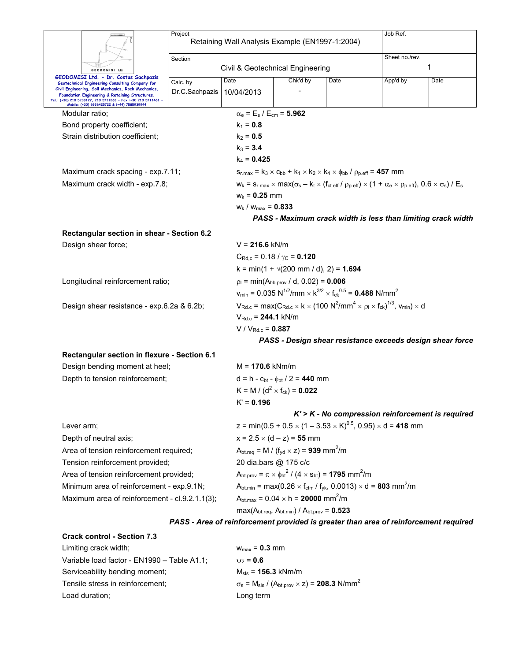| GEODOMISI Ltd.                                                                                               | Project                                      | Retaining Wall Analysis Example (EN1997-1:2004) |                                                                   |                                                                                                                                   | Job Ref.       |                                                                                                                                                                                         |                                                                                      |  |  |  |
|--------------------------------------------------------------------------------------------------------------|----------------------------------------------|-------------------------------------------------|-------------------------------------------------------------------|-----------------------------------------------------------------------------------------------------------------------------------|----------------|-----------------------------------------------------------------------------------------------------------------------------------------------------------------------------------------|--------------------------------------------------------------------------------------|--|--|--|
|                                                                                                              | Section                                      |                                                 |                                                                   |                                                                                                                                   | Sheet no./rev. |                                                                                                                                                                                         |                                                                                      |  |  |  |
|                                                                                                              | Civil & Geotechnical Engineering             |                                                 |                                                                   |                                                                                                                                   | 1              |                                                                                                                                                                                         |                                                                                      |  |  |  |
| GEODOMISI Ltd. - Dr. Costas Sachpazis<br>Geotechnical Engineering Consulting Company for                     |                                              | Calc. by                                        | Date                                                              | Chk'd by                                                                                                                          | Date           | App'd by                                                                                                                                                                                | Date                                                                                 |  |  |  |
| Civil Engineering, Soil Mechanics, Rock Mechanics,<br>Foundation Engineering & Retaining Structures.         |                                              | Dr.C.Sachpazis                                  | 10/04/2013                                                        |                                                                                                                                   |                |                                                                                                                                                                                         |                                                                                      |  |  |  |
| Tel.: (+30) 210 5238127, 210 5711263 - Fax.:+30 210 5711461 -<br>Mobile: (+30) 6936425722 & (+44) 7585939944 |                                              |                                                 |                                                                   |                                                                                                                                   |                |                                                                                                                                                                                         |                                                                                      |  |  |  |
| Modular ratio;                                                                                               |                                              |                                                 | $\alpha_{\rm e}$ = E <sub>s</sub> / E <sub>cm</sub> = 5.962       |                                                                                                                                   |                |                                                                                                                                                                                         |                                                                                      |  |  |  |
| Bond property coefficient;                                                                                   |                                              |                                                 | $k_1 = 0.8$                                                       |                                                                                                                                   |                |                                                                                                                                                                                         |                                                                                      |  |  |  |
|                                                                                                              | Strain distribution coefficient;             |                                                 | $k_2 = 0.5$                                                       |                                                                                                                                   |                |                                                                                                                                                                                         |                                                                                      |  |  |  |
|                                                                                                              |                                              |                                                 | $k_3 = 3.4$                                                       |                                                                                                                                   |                |                                                                                                                                                                                         |                                                                                      |  |  |  |
|                                                                                                              |                                              |                                                 | $k_4$ = 0.425                                                     |                                                                                                                                   |                |                                                                                                                                                                                         |                                                                                      |  |  |  |
|                                                                                                              | Maximum crack spacing - exp.7.11;            |                                                 |                                                                   | $s_{r,max} = k_3 \times c_{bb} + k_1 \times k_2 \times k_4 \times \phi_{bb} / \rho_{p,eff} = 457$ mm                              |                |                                                                                                                                                                                         |                                                                                      |  |  |  |
|                                                                                                              | Maximum crack width - exp.7.8;               |                                                 |                                                                   |                                                                                                                                   |                | $w_k = s_{r,\text{max}} \times \text{max}(\sigma_s - k_t \times (f_{\text{ct.eff}} / \rho_{p,\text{eff}}) \times (1 + \alpha_e \times \rho_{p,\text{eff}}), 0.6 \times \sigma_s) / E_s$ |                                                                                      |  |  |  |
|                                                                                                              |                                              |                                                 | $W_k = 0.25$ mm                                                   |                                                                                                                                   |                |                                                                                                                                                                                         |                                                                                      |  |  |  |
|                                                                                                              |                                              |                                                 | $W_k / W_{max} = 0.833$                                           |                                                                                                                                   |                |                                                                                                                                                                                         |                                                                                      |  |  |  |
|                                                                                                              |                                              |                                                 |                                                                   | PASS - Maximum crack width is less than limiting crack width                                                                      |                |                                                                                                                                                                                         |                                                                                      |  |  |  |
|                                                                                                              | Rectangular section in shear - Section 6.2   |                                                 |                                                                   |                                                                                                                                   |                |                                                                                                                                                                                         |                                                                                      |  |  |  |
| Design shear force;                                                                                          |                                              |                                                 |                                                                   | $V = 216.6$ kN/m                                                                                                                  |                |                                                                                                                                                                                         |                                                                                      |  |  |  |
|                                                                                                              |                                              |                                                 |                                                                   | $C_{\text{Rd},c}$ = 0.18 / $\gamma_{\text{C}}$ = 0.120                                                                            |                |                                                                                                                                                                                         |                                                                                      |  |  |  |
|                                                                                                              |                                              |                                                 |                                                                   | k = min(1 + $\sqrt{(200 \text{ mm } / \text{ d})}$ , 2) = 1.694                                                                   |                |                                                                                                                                                                                         |                                                                                      |  |  |  |
|                                                                                                              | Longitudinal reinforcement ratio;            |                                                 |                                                                   | $p_1 = min(A_{bb.prov} / d, 0.02) = 0.006$                                                                                        |                |                                                                                                                                                                                         |                                                                                      |  |  |  |
|                                                                                                              |                                              |                                                 |                                                                   | $v_{\text{min}} = 0.035 \text{ N}^{1/2}/\text{mm} \times \text{K}^{3/2} \times \text{f}_{\text{ck}}^{0.5} = 0.488 \text{ N/mm}^2$ |                |                                                                                                                                                                                         |                                                                                      |  |  |  |
|                                                                                                              | Design shear resistance - exp.6.2a & 6.2b;   |                                                 |                                                                   |                                                                                                                                   |                | $V_{\text{Rd.c}}$ = max( $C_{\text{Rd.c}} \times k \times (100 \text{ N}^2/\text{mm}^4 \times \rho_l \times f_{\text{ck}})^{1/3}$ , $V_{\text{min}}$ ) × d                              |                                                                                      |  |  |  |
|                                                                                                              |                                              |                                                 | $V_{Rd.c}$ = 244.1 kN/m                                           |                                                                                                                                   |                |                                                                                                                                                                                         |                                                                                      |  |  |  |
|                                                                                                              |                                              |                                                 |                                                                   | $V / V_{Rd.c} = 0.887$                                                                                                            |                |                                                                                                                                                                                         |                                                                                      |  |  |  |
|                                                                                                              |                                              |                                                 |                                                                   |                                                                                                                                   |                |                                                                                                                                                                                         | PASS - Design shear resistance exceeds design shear force                            |  |  |  |
|                                                                                                              | Rectangular section in flexure - Section 6.1 |                                                 |                                                                   |                                                                                                                                   |                |                                                                                                                                                                                         |                                                                                      |  |  |  |
|                                                                                                              | Design bending moment at heel;               |                                                 | $M = 170.6$ kNm/m                                                 |                                                                                                                                   |                |                                                                                                                                                                                         |                                                                                      |  |  |  |
| Depth to tension reinforcement;                                                                              |                                              |                                                 | $d = h - c_{bt} - \phi_{bt} / 2 = 440$ mm                         |                                                                                                                                   |                |                                                                                                                                                                                         |                                                                                      |  |  |  |
|                                                                                                              |                                              |                                                 | K = M / ( $d^2$ × f <sub>ck</sub> ) = 0.022                       |                                                                                                                                   |                |                                                                                                                                                                                         |                                                                                      |  |  |  |
|                                                                                                              |                                              |                                                 | K' = 0.196                                                        |                                                                                                                                   |                |                                                                                                                                                                                         |                                                                                      |  |  |  |
|                                                                                                              |                                              |                                                 |                                                                   |                                                                                                                                   |                |                                                                                                                                                                                         | $K'$ > $K$ - No compression reinforcement is required                                |  |  |  |
| Lever arm;                                                                                                   |                                              |                                                 |                                                                   | z = min(0.5 + 0.5 $\times$ (1 – 3.53 $\times$ K) <sup>0.5</sup> , 0.95) $\times$ d = 418 mm                                       |                |                                                                                                                                                                                         |                                                                                      |  |  |  |
|                                                                                                              | Depth of neutral axis;                       |                                                 | $x = 2.5 \times (d - z) = 55$ mm                                  |                                                                                                                                   |                |                                                                                                                                                                                         |                                                                                      |  |  |  |
| Area of tension reinforcement required;                                                                      |                                              |                                                 |                                                                   | $A_{\text{bt.req}} = M / (f_{\text{yd}} \times z) = 939 \text{ mm}^2/\text{m}$                                                    |                |                                                                                                                                                                                         |                                                                                      |  |  |  |
| Tension reinforcement provided;                                                                              |                                              | 20 dia.bars @ 175 c/c                           |                                                                   |                                                                                                                                   |                |                                                                                                                                                                                         |                                                                                      |  |  |  |
| Area of tension reinforcement provided;                                                                      |                                              |                                                 |                                                                   | $A_{\text{bt.prov}} = \pi \times \phi_{\text{bt}}^2 / (4 \times s_{\text{bt}}) = 1795 \text{ mm}^2/\text{m}$                      |                |                                                                                                                                                                                         |                                                                                      |  |  |  |
| Minimum area of reinforcement - exp.9.1N;                                                                    |                                              |                                                 |                                                                   | $A_{\text{bt,min}} = \max(0.26 \times f_{\text{ctm}} / f_{\text{yk}} , 0.0013) \times d = 803 \text{ mm}^2/\text{m}$              |                |                                                                                                                                                                                         |                                                                                      |  |  |  |
| Maximum area of reinforcement - cl.9.2.1.1(3);                                                               |                                              |                                                 | $A_{\text{bt.max}} = 0.04 \times h = 20000 \text{ mm}^2/\text{m}$ |                                                                                                                                   |                |                                                                                                                                                                                         |                                                                                      |  |  |  |
|                                                                                                              |                                              |                                                 |                                                                   | $max(A_{bt,req}, A_{bt,min}) / A_{bt,prov} = 0.523$                                                                               |                |                                                                                                                                                                                         |                                                                                      |  |  |  |
|                                                                                                              |                                              |                                                 |                                                                   |                                                                                                                                   |                |                                                                                                                                                                                         | PASS - Area of reinforcement provided is greater than area of reinforcement required |  |  |  |
|                                                                                                              | <b>Crack control - Section 7.3</b>           |                                                 |                                                                   |                                                                                                                                   |                |                                                                                                                                                                                         |                                                                                      |  |  |  |
| Limiting crack width;                                                                                        |                                              |                                                 | $w_{max} = 0.3$ mm                                                |                                                                                                                                   |                |                                                                                                                                                                                         |                                                                                      |  |  |  |
| Variable load factor - FN1990 - Table A1 1:                                                                  |                                              |                                                 | $\mu_0 = 0.6$                                                     |                                                                                                                                   |                |                                                                                                                                                                                         |                                                                                      |  |  |  |

| Limiting crack width:                       | $W_{\text{max}} = 0.3$ mm                                                                          |
|---------------------------------------------|----------------------------------------------------------------------------------------------------|
| Variable load factor - EN1990 - Table A1.1; | $W_2 = 0.6$                                                                                        |
| Serviceability bending moment;              | $M_{\rm sls}$ = 156.3 kNm/m                                                                        |
| Tensile stress in reinforcement;            | $\sigma_s$ = M <sub>sls</sub> / (A <sub>bt.prov</sub> $\times$ z) = <b>208.3</b> N/mm <sup>2</sup> |
| Load duration;                              | Long term                                                                                          |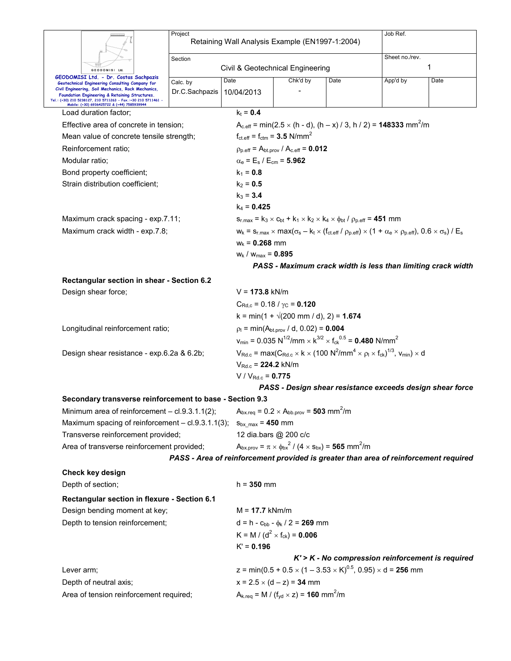|                                                                                                              | Project                                    |                                                                                                                                             | Job Ref.                                                                                                                                                                                 |                                                                                                                                                      |          |      |  |  |  |
|--------------------------------------------------------------------------------------------------------------|--------------------------------------------|---------------------------------------------------------------------------------------------------------------------------------------------|------------------------------------------------------------------------------------------------------------------------------------------------------------------------------------------|------------------------------------------------------------------------------------------------------------------------------------------------------|----------|------|--|--|--|
|                                                                                                              |                                            | Retaining Wall Analysis Example (EN1997-1:2004)                                                                                             |                                                                                                                                                                                          |                                                                                                                                                      |          |      |  |  |  |
|                                                                                                              | Section                                    |                                                                                                                                             | Sheet no./rev.                                                                                                                                                                           |                                                                                                                                                      |          |      |  |  |  |
| GEODOMISI Ltd                                                                                                |                                            | Civil & Geotechnical Engineering                                                                                                            | 1                                                                                                                                                                                        |                                                                                                                                                      |          |      |  |  |  |
| GEODOMISI Ltd. - Dr. Costas Sachpazis<br>Geotechnical Engineering Consulting Company for                     | Calc. by                                   | Date                                                                                                                                        | Chk'd by                                                                                                                                                                                 | Date                                                                                                                                                 | App'd by | Date |  |  |  |
| Civil Engineering, Soil Mechanics, Rock Mechanics,<br>Foundation Engineering & Retaining Structures.         | Dr.C.Sachpazis                             | 10/04/2013                                                                                                                                  |                                                                                                                                                                                          |                                                                                                                                                      |          |      |  |  |  |
| Tel.: (+30) 210 5238127, 210 5711263 - Fax.:+30 210 5711461 -<br>Mobile: (+30) 6936425722 & (+44) 7585939944 |                                            |                                                                                                                                             |                                                                                                                                                                                          |                                                                                                                                                      |          |      |  |  |  |
| Load duration factor;                                                                                        |                                            | $k_t = 0.4$                                                                                                                                 |                                                                                                                                                                                          |                                                                                                                                                      |          |      |  |  |  |
| Effective area of concrete in tension;                                                                       |                                            |                                                                                                                                             |                                                                                                                                                                                          | $A_{c,eff}$ = min(2.5 $\times$ (h - d), (h – x) / 3, h / 2) = <b>148333</b> mm <sup>2</sup> /m                                                       |          |      |  |  |  |
| Mean value of concrete tensile strength;                                                                     |                                            |                                                                                                                                             | $f_{\text{ct.eff}} = f_{\text{ctm}} = 3.5 \text{ N/mm}^2$                                                                                                                                |                                                                                                                                                      |          |      |  |  |  |
| Reinforcement ratio;                                                                                         |                                            |                                                                                                                                             | $\rho_{p.eff} = A_{bt.prov} / A_{c.eff} = 0.012$                                                                                                                                         |                                                                                                                                                      |          |      |  |  |  |
| Modular ratio;                                                                                               |                                            |                                                                                                                                             | $\alpha_e = E_s / E_{cm} = 5.962$                                                                                                                                                        |                                                                                                                                                      |          |      |  |  |  |
| Bond property coefficient;                                                                                   |                                            | $k_1 = 0.8$                                                                                                                                 |                                                                                                                                                                                          |                                                                                                                                                      |          |      |  |  |  |
| Strain distribution coefficient;                                                                             |                                            | $k_2 = 0.5$                                                                                                                                 |                                                                                                                                                                                          |                                                                                                                                                      |          |      |  |  |  |
|                                                                                                              |                                            | $k_3 = 3.4$                                                                                                                                 |                                                                                                                                                                                          |                                                                                                                                                      |          |      |  |  |  |
|                                                                                                              |                                            | $k_4$ = 0.425                                                                                                                               |                                                                                                                                                                                          |                                                                                                                                                      |          |      |  |  |  |
| Maximum crack spacing - exp.7.11;                                                                            |                                            |                                                                                                                                             |                                                                                                                                                                                          | $s_{r,max} = k_3 \times c_{bt} + k_1 \times k_2 \times k_4 \times \phi_{bt} / \rho_{p,eff} = 451$ mm                                                 |          |      |  |  |  |
| Maximum crack width - exp.7.8;                                                                               |                                            |                                                                                                                                             |                                                                                                                                                                                          | $W_k = S_{r,max} \times max(\sigma_s - k_t \times (f_{ct.eff} / \rho_{p.eff}) \times (1 + \alpha_e \times \rho_{p.eff}), 0.6 \times \sigma_s) / E_s$ |          |      |  |  |  |
|                                                                                                              |                                            | $W_k = 0.268$ mm                                                                                                                            |                                                                                                                                                                                          |                                                                                                                                                      |          |      |  |  |  |
|                                                                                                              |                                            | $W_k$ / $W_{max} = 0.895$                                                                                                                   |                                                                                                                                                                                          |                                                                                                                                                      |          |      |  |  |  |
|                                                                                                              |                                            |                                                                                                                                             | PASS - Maximum crack width is less than limiting crack width                                                                                                                             |                                                                                                                                                      |          |      |  |  |  |
| Rectangular section in shear - Section 6.2                                                                   |                                            |                                                                                                                                             |                                                                                                                                                                                          |                                                                                                                                                      |          |      |  |  |  |
| Design shear force;                                                                                          |                                            | $V = 173.8$ kN/m                                                                                                                            |                                                                                                                                                                                          |                                                                                                                                                      |          |      |  |  |  |
|                                                                                                              |                                            | $C_{\text{Rd.c}}$ = 0.18 / $\gamma_{\text{C}}$ = 0.120                                                                                      |                                                                                                                                                                                          |                                                                                                                                                      |          |      |  |  |  |
|                                                                                                              |                                            | $k = min(1 + \sqrt{200} \text{ mm } / \text{ d}), 2) = 1.674$                                                                               |                                                                                                                                                                                          |                                                                                                                                                      |          |      |  |  |  |
| Longitudinal reinforcement ratio;                                                                            |                                            |                                                                                                                                             | $p_1 = min(A_{\text{bt.prov}} / d, 0.02) = 0.004$                                                                                                                                        |                                                                                                                                                      |          |      |  |  |  |
|                                                                                                              |                                            |                                                                                                                                             |                                                                                                                                                                                          | $v_{\text{min}} = 0.035 \text{ N}^{1/2}/\text{mm} \times \text{K}^{3/2} \times \text{f}_{\text{ck}}^{0.5} = 0.480 \text{ N/mm}^2$                    |          |      |  |  |  |
|                                                                                                              | Design shear resistance - exp.6.2a & 6.2b; |                                                                                                                                             | $V_{\text{Rd.c}}$ = max( $C_{\text{Rd.c}} \times k \times (100 \text{ N}^2/\text{mm}^4 \times \rho_l \times f_{\text{ck}})^{1/3}$ , $V_{\text{min}} \times d$<br>$V_{Rd.c}$ = 224.2 kN/m |                                                                                                                                                      |          |      |  |  |  |
|                                                                                                              |                                            |                                                                                                                                             |                                                                                                                                                                                          |                                                                                                                                                      |          |      |  |  |  |
|                                                                                                              | $V / V_{Rd.c} = 0.775$                     |                                                                                                                                             |                                                                                                                                                                                          |                                                                                                                                                      |          |      |  |  |  |
|                                                                                                              |                                            |                                                                                                                                             |                                                                                                                                                                                          | PASS - Design shear resistance exceeds design shear force                                                                                            |          |      |  |  |  |
| Secondary transverse reinforcement to base - Section 9.3                                                     |                                            |                                                                                                                                             |                                                                                                                                                                                          |                                                                                                                                                      |          |      |  |  |  |
| Minimum area of reinforcement - cl.9.3.1.1(2);                                                               |                                            | $A_{bx,req} = 0.2 \times A_{bb,prov} = 503$ mm <sup>2</sup> /m                                                                              |                                                                                                                                                                                          |                                                                                                                                                      |          |      |  |  |  |
| Maximum spacing of reinforcement - cl.9.3.1.1(3);                                                            |                                            |                                                                                                                                             | $S_{\text{bx max}} = 450$ mm                                                                                                                                                             |                                                                                                                                                      |          |      |  |  |  |
| Transverse reinforcement provided;                                                                           |                                            | 12 dia.bars @ 200 c/c<br>$A_{\text{bx},\text{prov}} = \pi \times \phi_{\text{bx}}^2 / (4 \times s_{\text{bx}}) = 565 \text{ mm}^2/\text{m}$ |                                                                                                                                                                                          |                                                                                                                                                      |          |      |  |  |  |
| Area of transverse reinforcement provided;                                                                   |                                            |                                                                                                                                             |                                                                                                                                                                                          |                                                                                                                                                      |          |      |  |  |  |
|                                                                                                              |                                            |                                                                                                                                             |                                                                                                                                                                                          | PASS - Area of reinforcement provided is greater than area of reinforcement required                                                                 |          |      |  |  |  |
| Check key design                                                                                             |                                            |                                                                                                                                             |                                                                                                                                                                                          |                                                                                                                                                      |          |      |  |  |  |
| Depth of section;                                                                                            |                                            | $h = 350$ mm                                                                                                                                |                                                                                                                                                                                          |                                                                                                                                                      |          |      |  |  |  |
| Rectangular section in flexure - Section 6.1                                                                 |                                            |                                                                                                                                             |                                                                                                                                                                                          |                                                                                                                                                      |          |      |  |  |  |
| Design bending moment at key;                                                                                |                                            | $M = 17.7$ kNm/m                                                                                                                            |                                                                                                                                                                                          |                                                                                                                                                      |          |      |  |  |  |
| Depth to tension reinforcement;                                                                              |                                            | $d = h - c_{bb} - \phi_k / 2 = 269$ mm                                                                                                      |                                                                                                                                                                                          |                                                                                                                                                      |          |      |  |  |  |
|                                                                                                              |                                            | K = M / ( $d^2$ × f <sub>ck</sub> ) = <b>0.006</b>                                                                                          |                                                                                                                                                                                          |                                                                                                                                                      |          |      |  |  |  |
|                                                                                                              |                                            | $K' = 0.196$                                                                                                                                |                                                                                                                                                                                          |                                                                                                                                                      |          |      |  |  |  |
|                                                                                                              |                                            |                                                                                                                                             |                                                                                                                                                                                          | $K'$ > $K$ - No compression reinforcement is required                                                                                                |          |      |  |  |  |
| Lever arm;                                                                                                   |                                            |                                                                                                                                             |                                                                                                                                                                                          | z = min(0.5 + 0.5 $\times$ (1 – 3.53 $\times$ K) <sup>0.5</sup> , 0.95) $\times$ d = <b>256</b> mm                                                   |          |      |  |  |  |
| Depth of neutral axis;                                                                                       |                                            | $x = 2.5 \times (d - z) = 34$ mm                                                                                                            |                                                                                                                                                                                          |                                                                                                                                                      |          |      |  |  |  |
| Area of tension reinforcement required;                                                                      |                                            | $A_{k,req} = M / (f_{yd} \times z) = 160$ mm <sup>2</sup> /m                                                                                |                                                                                                                                                                                          |                                                                                                                                                      |          |      |  |  |  |
|                                                                                                              |                                            |                                                                                                                                             |                                                                                                                                                                                          |                                                                                                                                                      |          |      |  |  |  |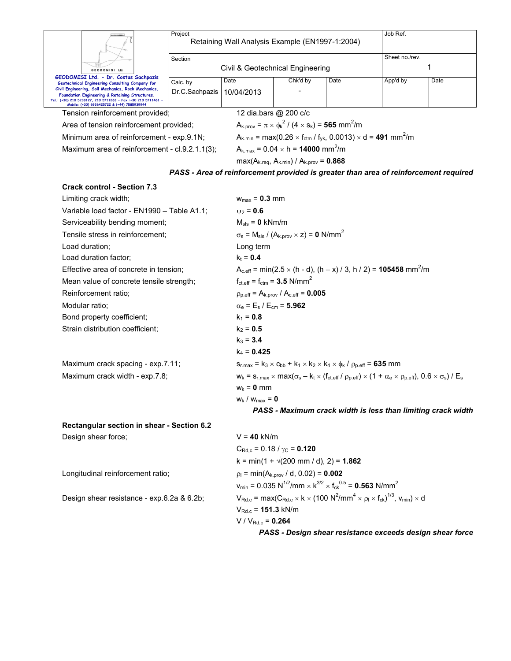|                                                                                                                                                                                                                                                                         | Job Ref.<br>Project<br>Retaining Wall Analysis Example (EN1997-1:2004) |                                                                                                                            |                                                                                                                                                                                          |                                                                                                   |          |      |  |  |  |
|-------------------------------------------------------------------------------------------------------------------------------------------------------------------------------------------------------------------------------------------------------------------------|------------------------------------------------------------------------|----------------------------------------------------------------------------------------------------------------------------|------------------------------------------------------------------------------------------------------------------------------------------------------------------------------------------|---------------------------------------------------------------------------------------------------|----------|------|--|--|--|
|                                                                                                                                                                                                                                                                         |                                                                        |                                                                                                                            | Sheet no./rev.                                                                                                                                                                           |                                                                                                   |          |      |  |  |  |
| GEODOMISI Ltd.                                                                                                                                                                                                                                                          | Section                                                                | Civil & Geotechnical Engineering                                                                                           |                                                                                                                                                                                          |                                                                                                   | 1        |      |  |  |  |
| GEODOMISI Ltd. - Dr. Costas Sachpazis                                                                                                                                                                                                                                   |                                                                        | Date                                                                                                                       | Chk'd by                                                                                                                                                                                 | Date                                                                                              | App'd by | Date |  |  |  |
| Geotechnical Engineering Consulting Company for<br>Civil Engineering, Soil Mechanics, Rock Mechanics,<br>Foundation Engineering & Retaining Structures.<br>Tel.: (+30) 210 5238127, 210 5711263 - Fax.:+30 210 5711461 -<br>Mobile: (+30) 6936425722 & (+44) 7585939944 | Calc. by<br>Dr.C.Sachpazis                                             | 10/04/2013                                                                                                                 |                                                                                                                                                                                          |                                                                                                   |          |      |  |  |  |
| Tension reinforcement provided;                                                                                                                                                                                                                                         |                                                                        |                                                                                                                            | 12 dia.bars @ 200 c/c                                                                                                                                                                    |                                                                                                   |          |      |  |  |  |
| Area of tension reinforcement provided;                                                                                                                                                                                                                                 |                                                                        |                                                                                                                            | $A_{k.} = \pi \times \phi_k^2 / (4 \times s_k) = 565$ mm <sup>2</sup> /m                                                                                                                 |                                                                                                   |          |      |  |  |  |
| Minimum area of reinforcement - exp.9.1N;                                                                                                                                                                                                                               |                                                                        |                                                                                                                            | $A_{k,min}$ = max(0.26 $\times$ f <sub>ctm</sub> / f <sub>yk</sub> , 0.0013) $\times$ d = <b>491</b> mm <sup>2</sup> /m                                                                  |                                                                                                   |          |      |  |  |  |
| Maximum area of reinforcement - cl.9.2.1.1(3);                                                                                                                                                                                                                          |                                                                        |                                                                                                                            | $A_{k, max} = 0.04 \times h = 14000$ mm <sup>2</sup> /m                                                                                                                                  |                                                                                                   |          |      |  |  |  |
|                                                                                                                                                                                                                                                                         |                                                                        |                                                                                                                            | $max(A_{k.read}, A_{k.min}) / A_{k.prov} = 0.868$                                                                                                                                        |                                                                                                   |          |      |  |  |  |
|                                                                                                                                                                                                                                                                         |                                                                        |                                                                                                                            |                                                                                                                                                                                          | PASS - Area of reinforcement provided is greater than area of reinforcement required              |          |      |  |  |  |
| <b>Crack control - Section 7.3</b>                                                                                                                                                                                                                                      |                                                                        |                                                                                                                            |                                                                                                                                                                                          |                                                                                                   |          |      |  |  |  |
| Limiting crack width;                                                                                                                                                                                                                                                   |                                                                        | $w_{max} = 0.3$ mm                                                                                                         |                                                                                                                                                                                          |                                                                                                   |          |      |  |  |  |
| Variable load factor - EN1990 - Table A1.1;                                                                                                                                                                                                                             |                                                                        | $\psi_2 = 0.6$                                                                                                             |                                                                                                                                                                                          |                                                                                                   |          |      |  |  |  |
| Serviceability bending moment;                                                                                                                                                                                                                                          |                                                                        |                                                                                                                            | $M_{\rm sls}$ = 0 kNm/m                                                                                                                                                                  |                                                                                                   |          |      |  |  |  |
| Tensile stress in reinforcement;                                                                                                                                                                                                                                        |                                                                        | $\sigma_s$ = M <sub>sls</sub> / (A <sub>k.prov</sub> × z) = 0 N/mm <sup>2</sup>                                            |                                                                                                                                                                                          |                                                                                                   |          |      |  |  |  |
| Load duration;                                                                                                                                                                                                                                                          |                                                                        | Long term                                                                                                                  |                                                                                                                                                                                          |                                                                                                   |          |      |  |  |  |
| Load duration factor;                                                                                                                                                                                                                                                   |                                                                        | $k_t = 0.4$                                                                                                                |                                                                                                                                                                                          |                                                                                                   |          |      |  |  |  |
|                                                                                                                                                                                                                                                                         | Effective area of concrete in tension;                                 |                                                                                                                            |                                                                                                                                                                                          | $A_{c,eff}$ = min(2.5 $\times$ (h - d), (h – x) / 3, h / 2) = <b>105458</b> mm <sup>2</sup> /m    |          |      |  |  |  |
|                                                                                                                                                                                                                                                                         | Mean value of concrete tensile strength;                               |                                                                                                                            | $f_{\text{ct.eff}} = f_{\text{ctm}} = 3.5 \text{ N/mm}^2$                                                                                                                                |                                                                                                   |          |      |  |  |  |
| Reinforcement ratio;                                                                                                                                                                                                                                                    |                                                                        |                                                                                                                            | $p_{p.eff} = A_{k.prov} / A_{c.eff} = 0.005$                                                                                                                                             |                                                                                                   |          |      |  |  |  |
| Modular ratio;                                                                                                                                                                                                                                                          |                                                                        | $\alpha_{\rm e}$ = E <sub>s</sub> / E <sub>cm</sub> = 5.962                                                                |                                                                                                                                                                                          |                                                                                                   |          |      |  |  |  |
| Bond property coefficient;                                                                                                                                                                                                                                              |                                                                        |                                                                                                                            |                                                                                                                                                                                          |                                                                                                   |          |      |  |  |  |
| Strain distribution coefficient;                                                                                                                                                                                                                                        |                                                                        | $k_2 = 0.5$                                                                                                                |                                                                                                                                                                                          |                                                                                                   |          |      |  |  |  |
|                                                                                                                                                                                                                                                                         |                                                                        | $k_3 = 3.4$                                                                                                                |                                                                                                                                                                                          |                                                                                                   |          |      |  |  |  |
|                                                                                                                                                                                                                                                                         |                                                                        | $k_4 = 0.425$                                                                                                              |                                                                                                                                                                                          |                                                                                                   |          |      |  |  |  |
| Maximum crack spacing - exp.7.11;                                                                                                                                                                                                                                       |                                                                        |                                                                                                                            |                                                                                                                                                                                          | $s_{r,max} = k_3 \times c_{bb} + k_1 \times k_2 \times k_4 \times \phi_k / \rho_{p,eff} = 635$ mm |          |      |  |  |  |
| Maximum crack width - exp.7.8;                                                                                                                                                                                                                                          |                                                                        |                                                                                                                            | $W_k = S_{r,max} \times max(\sigma_s - k_t \times (f_{ct\text{eff}} / \rho_{p\text{eff}}) \times (1 + \alpha_e \times \rho_{p\text{eff}}), 0.6 \times \sigma_s) / E_s$                   |                                                                                                   |          |      |  |  |  |
|                                                                                                                                                                                                                                                                         |                                                                        | $w_k = 0$ mm                                                                                                               |                                                                                                                                                                                          |                                                                                                   |          |      |  |  |  |
|                                                                                                                                                                                                                                                                         |                                                                        | $w_k / w_{max} = 0$                                                                                                        |                                                                                                                                                                                          |                                                                                                   |          |      |  |  |  |
|                                                                                                                                                                                                                                                                         |                                                                        | PASS - Maximum crack width is less than limiting crack width                                                               |                                                                                                                                                                                          |                                                                                                   |          |      |  |  |  |
| Rectangular section in shear - Section 6.2                                                                                                                                                                                                                              |                                                                        |                                                                                                                            |                                                                                                                                                                                          |                                                                                                   |          |      |  |  |  |
| Design shear force;                                                                                                                                                                                                                                                     |                                                                        | $V = 40$ kN/m                                                                                                              |                                                                                                                                                                                          |                                                                                                   |          |      |  |  |  |
|                                                                                                                                                                                                                                                                         |                                                                        | $C_{\text{Rd.c}}$ = 0.18 / $\gamma$ <sub>C</sub> = <b>0.120</b>                                                            |                                                                                                                                                                                          |                                                                                                   |          |      |  |  |  |
|                                                                                                                                                                                                                                                                         |                                                                        |                                                                                                                            | $k = min(1 + \sqrt{200 \text{ mm}/ d})$ , 2) = 1.862                                                                                                                                     |                                                                                                   |          |      |  |  |  |
| Longitudinal reinforcement ratio;                                                                                                                                                                                                                                       |                                                                        | $p_1 = min(A_{k,prov}/d, 0.02) = 0.002$                                                                                    |                                                                                                                                                                                          |                                                                                                   |          |      |  |  |  |
|                                                                                                                                                                                                                                                                         |                                                                        | $v_{\text{min}} = 0.035 \text{ N}^{1/2}/\text{mm} \times \text{K}^{3/2} \times f_{\text{ck}}^{0.5} = 0.563 \text{ N/mm}^2$ |                                                                                                                                                                                          |                                                                                                   |          |      |  |  |  |
|                                                                                                                                                                                                                                                                         | Design shear resistance - exp.6.2a & 6.2b;                             |                                                                                                                            | $V_{\text{Rd.c}}$ = max( $C_{\text{Rd.c}} \times k \times (100 \text{ N}^2/\text{mm}^4 \times \rho_1 \times f_{\text{ck}})^{1/3}$ , $V_{\text{min}} \times d$<br>$V_{Rd.c} = 151.3$ kN/m |                                                                                                   |          |      |  |  |  |
|                                                                                                                                                                                                                                                                         | $V / V_{Rd.c} = 0.264$                                                 |                                                                                                                            |                                                                                                                                                                                          |                                                                                                   |          |      |  |  |  |

*PASS - Design shear resistance exceeds design shear force*